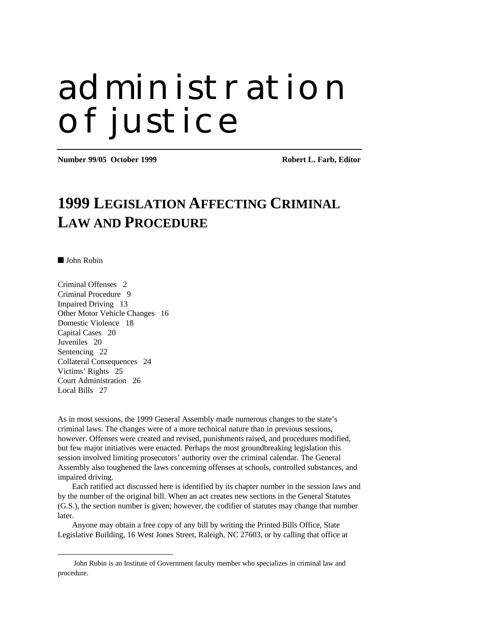# administration of justice

**Number 99/05 October 1999 Robert L. Farb, Editor** 

# **1999 LEGISLATION AFFECTING CRIMINAL LAW AND PROCEDURE**

■ John Rubin

 $\overline{a}$ 

Criminal Offenses 2 Criminal Procedure 9 Impaired Driving 13 Other Motor Vehicle Changes 16 Domestic Violence 18 Capital Cases 20 Juveniles 20 Sentencing 22 Collateral Consequences 24 Victims' Rights 25 Court Administration 26 Local Bills 27

As in most sessions, the 1999 General Assembly made numerous changes to the state's criminal laws. The changes were of a more technical nature than in previous sessions, however. Offenses were created and revised, punishments raised, and procedures modified, but few major initiatives were enacted. Perhaps the most groundbreaking legislation this session involved limiting prosecutors' authority over the criminal calendar. The General Assembly also toughened the laws concerning offenses at schools, controlled substances, and impaired driving.

Each ratified act discussed here is identified by its chapter number in the session laws and by the number of the original bill. When an act creates new sections in the General Statutes (G.S.), the section number is given; however, the codifier of statutes may change that number later.

Anyone may obtain a free copy of any bill by writing the Printed Bills Office, State Legislative Building, 16 West Jones Street, Raleigh, NC 27603, or by calling that office at

John Rubin is an Institute of Government faculty member who specializes in criminal law and procedure.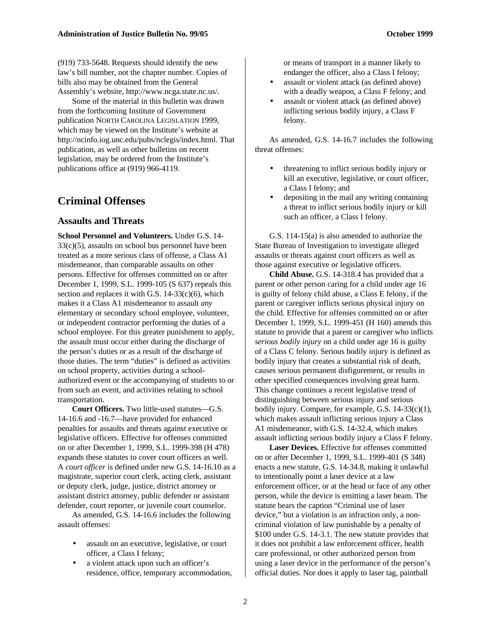(919) 733-5648. Requests should identify the new law's bill number, not the chapter number. Copies of bills also may be obtained from the General Assembly's website, http://www.ncga.state.nc.us/.

Some of the material in this bulletin was drawn from the forthcoming Institute of Government publication NORTH CAROLINA LEGISLATION 1999, which may be viewed on the Institute's website at http://ncinfo.iog.unc.edu/pubs/nclegis/index.html. That publication, as well as other bulletins on recent legislation, may be ordered from the Institute's publications office at (919) 966-4119.

# **Criminal Offenses**

#### **Assaults and Threats**

**School Personnel and Volunteers.** Under G.S. 14- 33(c)(5), assaults on school bus personnel have been treated as a more serious class of offense, a Class A1 misdemeanor, than comparable assaults on other persons. Effective for offenses committed on or after December 1, 1999, S.L. 1999-105 (S 637) repeals this section and replaces it with G.S.  $14-33(c)(6)$ , which makes it a Class A1 misdemeanor to assault *any* elementary or secondary school employee, volunteer, or independent contractor performing the duties of a school employee. For this greater punishment to apply, the assault must occur either during the discharge of the person's duties or as a result of the discharge of those duties. The term "duties" is defined as activities on school property, activities during a schoolauthorized event or the accompanying of students to or from such an event, and activities relating to school transportation.

**Court Officers.** Two little-used statutes—G.S. 14-16.6 and -16.7—have provided for enhanced penalties for assaults and threats against executive or legislative officers. Effective for offenses committed on or after December 1, 1999, S.L. 1999-398 (H 478) expands these statutes to cover court officers as well. A *court officer* is defined under new G.S. 14-16.10 as a magistrate, superior court clerk, acting clerk, assistant or deputy clerk, judge, justice, district attorney or assistant district attorney, public defender or assistant defender, court reporter, or juvenile court counselor.

As amended, G.S. 14-16.6 includes the following assault offenses:

- assault on an executive, legislative, or court officer, a Class I felony;
- a violent attack upon such an officer's residence, office, temporary accommodation,

or means of transport in a manner likely to endanger the officer, also a Class I felony;

- assault or violent attack (as defined above) with a deadly weapon, a Class F felony; and
- assault or violent attack (as defined above) inflicting serious bodily injury, a Class F felony.

As amended, G.S. 14-16.7 includes the following threat offenses:

- threatening to inflict serious bodily injury or kill an executive, legislative, or court officer, a Class I felony; and
- depositing in the mail any writing containing a threat to inflict serious bodily injury or kill such an officer, a Class I felony.

G.S. 114-15(a) is also amended to authorize the State Bureau of Investigation to investigate alleged assaults or threats against court officers as well as those against executive or legislative officers.

**Child Abuse.** G.S. 14-318.4 has provided that a parent or other person caring for a child under age 16 is guilty of felony child abuse, a Class E felony, if the parent or caregiver inflicts serious physical injury on the child. Effective for offenses committed on or after December 1, 1999, S.L. 1999-451 (H 160) amends this statute to provide that a parent or caregiver who inflicts *serious bodily injury* on a child under age 16 is guilty of a Class C felony. Serious bodily injury is defined as bodily injury that creates a substantial risk of death, causes serious permanent disfigurement, or results in other specified consequences involving great harm. This change continues a recent legislative trend of distinguishing between serious injury and serious bodily injury. Compare, for example, G.S. 14-33(c)(1), which makes assault inflicting serious injury a Class A1 misdemeanor, with G.S. 14-32.4, which makes assault inflicting serious bodily injury a Class F felony.

**Laser Devices.** Effective for offenses committed on or after December 1, 1999, S.L. 1999-401 (S 348) enacts a new statute, G.S. 14-34.8, making it unlawful to intentionally point a laser device at a law enforcement officer, or at the head or face of any other person, while the device is emitting a laser beam. The statute bears the caption "Criminal use of laser device," but a violation is an infraction only, a noncriminal violation of law punishable by a penalty of \$100 under G.S. 14-3.1. The new statute provides that it does not prohibit a law enforcement officer, health care professional, or other authorized person from using a laser device in the performance of the person's official duties. Nor does it apply to laser tag, paintball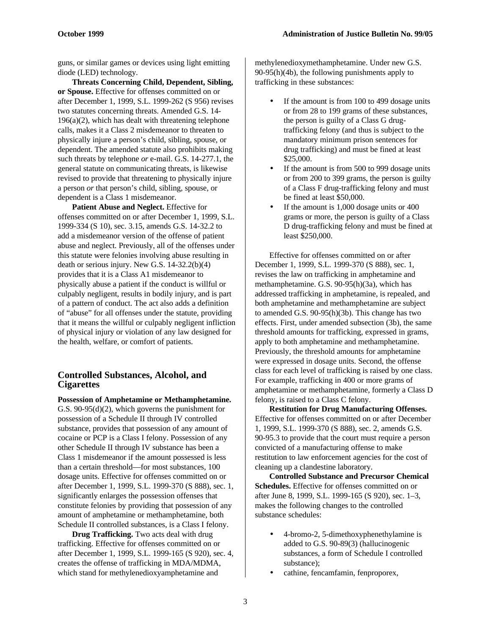guns, or similar games or devices using light emitting diode (LED) technology.

**Threats Concerning Child, Dependent, Sibling, or Spouse.** Effective for offenses committed on or after December 1, 1999, S.L. 1999-262 (S 956) revises two statutes concerning threats. Amended G.S. 14-  $196(a)(2)$ , which has dealt with threatening telephone calls, makes it a Class 2 misdemeanor to threaten to physically injure a person's child, sibling, spouse, or dependent. The amended statute also prohibits making such threats by telephone *or* e-mail. G.S. 14-277.1, the general statute on communicating threats, is likewise revised to provide that threatening to physically injure a person *or* that person's child, sibling, spouse, or dependent is a Class 1 misdemeanor.

**Patient Abuse and Neglect.** Effective for offenses committed on or after December 1, 1999, S.L. 1999-334 (S 10), sec. 3.15, amends G.S. 14-32.2 to add a misdemeanor version of the offense of patient abuse and neglect. Previously, all of the offenses under this statute were felonies involving abuse resulting in death or serious injury. New G.S. 14-32.2(b)(4) provides that it is a Class A1 misdemeanor to physically abuse a patient if the conduct is willful or culpably negligent, results in bodily injury, and is part of a pattern of conduct. The act also adds a definition of "abuse" for all offenses under the statute, providing that it means the willful or culpably negligent infliction of physical injury or violation of any law designed for the health, welfare, or comfort of patients.

#### **Controlled Substances, Alcohol, and Cigarettes**

**Possession of Amphetamine or Methamphetamine.** G.S. 90-95(d)(2), which governs the punishment for possession of a Schedule II through IV controlled substance, provides that possession of any amount of cocaine or PCP is a Class I felony. Possession of any other Schedule II through IV substance has been a Class 1 misdemeanor if the amount possessed is less than a certain threshold—for most substances, 100 dosage units. Effective for offenses committed on or after December 1, 1999, S.L. 1999-370 (S 888), sec. 1, significantly enlarges the possession offenses that constitute felonies by providing that possession of any amount of amphetamine or methamphetamine, both Schedule II controlled substances, is a Class I felony.

**Drug Trafficking.** Two acts deal with drug trafficking. Effective for offenses committed on or after December 1, 1999, S.L. 1999-165 (S 920), sec. 4, creates the offense of trafficking in MDA/MDMA, which stand for methylenedioxyamphetamine and

methylenedioxymethamphetamine. Under new G.S. 90-95(h)(4b), the following punishments apply to trafficking in these substances:

- If the amount is from 100 to 499 dosage units or from 28 to 199 grams of these substances, the person is guilty of a Class G drugtrafficking felony (and thus is subject to the mandatory minimum prison sentences for drug trafficking) and must be fined at least \$25,000.
- If the amount is from 500 to 999 dosage units or from 200 to 399 grams, the person is guilty of a Class F drug-trafficking felony and must be fined at least \$50,000.
- If the amount is  $1,000$  dosage units or  $400$ grams or more, the person is guilty of a Class D drug-trafficking felony and must be fined at least \$250,000.

Effective for offenses committed on or after December 1, 1999, S.L. 1999-370 (S 888), sec. 1, revises the law on trafficking in amphetamine and methamphetamine. G.S. 90-95(h)(3a), which has addressed trafficking in amphetamine, is repealed, and both amphetamine and methamphetamine are subject to amended G.S. 90-95(h)(3b). This change has two effects. First, under amended subsection (3b), the same threshold amounts for trafficking, expressed in grams, apply to both amphetamine and methamphetamine. Previously, the threshold amounts for amphetamine were expressed in dosage units. Second, the offense class for each level of trafficking is raised by one class. For example, trafficking in 400 or more grams of amphetamine or methamphetamine, formerly a Class D felony, is raised to a Class C felony.

**Restitution for Drug Manufacturing Offenses.** Effective for offenses committed on or after December 1, 1999, S.L. 1999-370 (S 888), sec. 2, amends G.S. 90-95.3 to provide that the court must require a person convicted of a manufacturing offense to make restitution to law enforcement agencies for the cost of cleaning up a clandestine laboratory.

**Controlled Substance and Precursor Chemical Schedules.** Effective for offenses committed on or after June 8, 1999, S.L. 1999-165 (S 920), sec. 1–3, makes the following changes to the controlled substance schedules:

- 4-bromo-2, 5-dimethoxyphenethylamine is added to G.S. 90-89(3) (hallucinogenic substances, a form of Schedule I controlled substance);
- cathine, fencamfamin, fenproporex,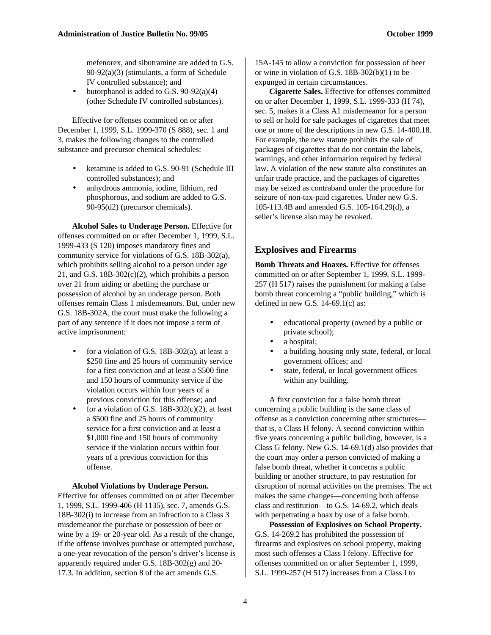mefenorex, and sibutramine are added to G.S. 90-92(a)(3) (stimulants, a form of Schedule IV controlled substance); and

butorphanol is added to G.S.  $90-92(a)(4)$ (other Schedule IV controlled substances).

Effective for offenses committed on or after December 1, 1999, S.L. 1999-370 (S 888), sec. 1 and 3, makes the following changes to the controlled substance and precursor chemical schedules:

- ketamine is added to G.S. 90-91 (Schedule III controlled substances); and
- anhydrous ammonia, iodine, lithium, red phosphorous, and sodium are added to G.S. 90-95(d2) (precursor chemicals).

**Alcohol Sales to Underage Person.** Effective for offenses committed on or after December 1, 1999, S.L. 1999-433 (S 120) imposes mandatory fines and community service for violations of G.S. 18B-302(a), which prohibits selling alcohol to a person under age 21, and G.S.  $18B-302(c)(2)$ , which prohibits a person over 21 from aiding or abetting the purchase or possession of alcohol by an underage person. Both offenses remain Class 1 misdemeanors. But, under new G.S. 18B-302A, the court must make the following a part of any sentence if it does not impose a term of active imprisonment:

- for a violation of G.S. 18B-302(a), at least a \$250 fine and 25 hours of community service for a first conviction and at least a \$500 fine and 150 hours of community service if the violation occurs within four years of a previous conviction for this offense; and
- for a violation of G.S.  $18B-302(c)(2)$ , at least a \$500 fine and 25 hours of community service for a first conviction and at least a \$1,000 fine and 150 hours of community service if the violation occurs within four years of a previous conviction for this offense.

#### **Alcohol Violations by Underage Person.**

Effective for offenses committed on or after December 1, 1999, S.L. 1999-406 (H 1135), sec. 7, amends G.S. 18B-302(i) to increase from an infraction to a Class 3 misdemeanor the purchase or possession of beer or wine by a 19- or 20-year old. As a result of the change, if the offense involves purchase or attempted purchase, a one-year revocation of the person's driver's license is apparently required under G.S. 18B-302(g) and 20- 17.3. In addition, section 8 of the act amends G.S.

15A-145 to allow a conviction for possession of beer or wine in violation of G.S. 18B-302(b)(1) to be expunged in certain circumstances.

**Cigarette Sales.** Effective for offenses committed on or after December 1, 1999, S.L. 1999-333 (H 74), sec. 5, makes it a Class A1 misdemeanor for a person to sell or hold for sale packages of cigarettes that meet one or more of the descriptions in new G.S. 14-400.18. For example, the new statute prohibits the sale of packages of cigarettes that do not contain the labels, warnings, and other information required by federal law. A violation of the new statute also constitutes an unfair trade practice, and the packages of cigarettes may be seized as contraband under the procedure for seizure of non-tax-paid cigarettes. Under new G.S. 105-113.4B and amended G.S. 105-164.29(d), a seller's license also may be revoked.

#### **Explosives and Firearms**

**Bomb Threats and Hoaxes.** Effective for offenses committed on or after September 1, 1999, S.L. 1999- 257 (H 517) raises the punishment for making a false bomb threat concerning a "public building," which is defined in new G.S.  $14-69.1(c)$  as:

- educational property (owned by a public or private school);
- a hospital;
- a building housing only state, federal, or local government offices; and
- state, federal, or local government offices within any building.

A first conviction for a false bomb threat concerning a public building is the same class of offense as a conviction concerning other structures that is, a Class H felony. A second conviction within five years concerning a public building, however, is a Class G felony. New G.S. 14-69.1(d) also provides that the court may order a person convicted of making a false bomb threat, whether it concerns a public building or another structure, to pay restitution for disruption of normal activities on the premises. The act makes the same changes—concerning both offense class and restitution—to G.S. 14-69.2, which deals with perpetrating a hoax by use of a false bomb.

**Possession of Explosives on School Property.** G.S. 14-269.2 has prohibited the possession of firearms and explosives on school property, making most such offenses a Class I felony. Effective for offenses committed on or after September 1, 1999, S.L. 1999-257 (H 517) increases from a Class I to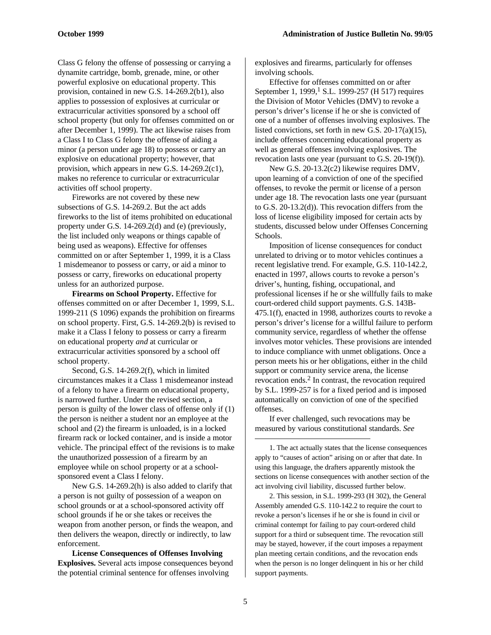Class G felony the offense of possessing or carrying a dynamite cartridge, bomb, grenade, mine, or other powerful explosive on educational property. This provision, contained in new G.S. 14-269.2(b1), also applies to possession of explosives at curricular or extracurricular activities sponsored by a school off school property (but only for offenses committed on or after December 1, 1999). The act likewise raises from a Class I to Class G felony the offense of aiding a minor (a person under age 18) to possess or carry an explosive on educational property; however, that provision, which appears in new G.S. 14-269.2(c1), makes no reference to curricular or extracurricular activities off school property.

Fireworks are not covered by these new subsections of G.S. 14-269.2. But the act adds fireworks to the list of items prohibited on educational property under G.S. 14-269.2(d) and (e) (previously, the list included only weapons or things capable of being used as weapons). Effective for offenses committed on or after September 1, 1999, it is a Class 1 misdemeanor to possess or carry, or aid a minor to possess or carry, fireworks on educational property unless for an authorized purpose.

**Firearms on School Property.** Effective for offenses committed on or after December 1, 1999, S.L. 1999-211 (S 1096) expands the prohibition on firearms on school property. First, G.S. 14-269.2(b) is revised to make it a Class I felony to possess or carry a firearm on educational property *and* at curricular or extracurricular activities sponsored by a school off school property.

Second, G.S. 14-269.2(f), which in limited circumstances makes it a Class 1 misdemeanor instead of a felony to have a firearm on educational property, is narrowed further. Under the revised section, a person is guilty of the lower class of offense only if (1) the person is neither a student nor an employee at the school and (2) the firearm is unloaded, is in a locked firearm rack or locked container, and is inside a motor vehicle. The principal effect of the revisions is to make the unauthorized possession of a firearm by an employee while on school property or at a schoolsponsored event a Class I felony.

New G.S. 14-269.2(h) is also added to clarify that a person is not guilty of possession of a weapon on school grounds or at a school-sponsored activity off school grounds if he or she takes or receives the weapon from another person, or finds the weapon, and then delivers the weapon, directly or indirectly, to law enforcement.

**License Consequences of Offenses Involving Explosives.** Several acts impose consequences beyond the potential criminal sentence for offenses involving

explosives and firearms, particularly for offenses involving schools.

Effective for offenses committed on or after September 1, 1999,<sup>1</sup> S.L. 1999-257 (H 517) requires the Division of Motor Vehicles (DMV) to revoke a person's driver's license if he or she is convicted of one of a number of offenses involving explosives. The listed convictions, set forth in new G.S. 20-17(a)(15), include offenses concerning educational property as well as general offenses involving explosives. The revocation lasts one year (pursuant to G.S. 20-19(f)).

New G.S. 20-13.2(c2) likewise requires DMV, upon learning of a conviction of one of the specified offenses, to revoke the permit or license of a person under age 18. The revocation lasts one year (pursuant to G.S. 20-13.2(d)). This revocation differs from the loss of license eligibility imposed for certain acts by students, discussed below under Offenses Concerning Schools.

Imposition of license consequences for conduct unrelated to driving or to motor vehicles continues a recent legislative trend. For example, G.S. 110-142.2, enacted in 1997, allows courts to revoke a person's driver's, hunting, fishing, occupational, and professional licenses if he or she willfully fails to make court-ordered child support payments. G.S. 143B-475.1(f), enacted in 1998, authorizes courts to revoke a person's driver's license for a willful failure to perform community service, regardless of whether the offense involves motor vehicles. These provisions are intended to induce compliance with unmet obligations. Once a person meets his or her obligations, either in the child support or community service arena, the license revocation ends.<sup>2</sup> In contrast, the revocation required by S.L. 1999-257 is for a fixed period and is imposed automatically on conviction of one of the specified offenses.

If ever challenged, such revocations may be measured by various constitutional standards. *See*

1. The act actually states that the license consequences apply to "causes of action" arising on or after that date. In using this language, the drafters apparently mistook the sections on license consequences with another section of the act involving civil liability, discussed further below.

2. This session, in S.L. 1999-293 (H 302), the General Assembly amended G.S. 110-142.2 to require the court to revoke a person's licenses if he or she is found in civil or criminal contempt for failing to pay court-ordered child support for a third or subsequent time. The revocation still may be stayed, however, if the court imposes a repayment plan meeting certain conditions, and the revocation ends when the person is no longer delinquent in his or her child support payments.

 $\overline{a}$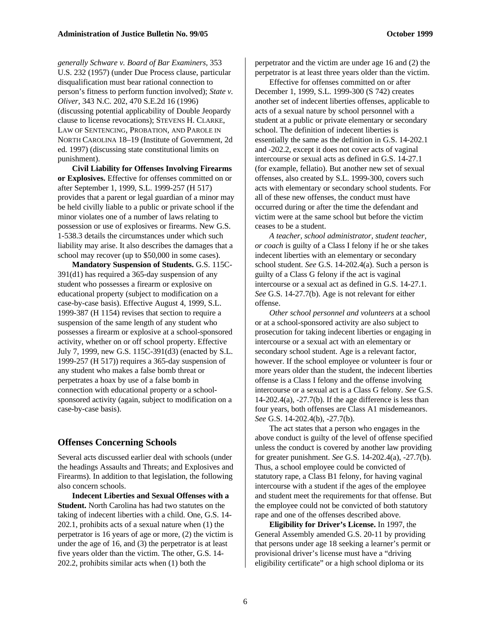*generally Schware v. Board of Bar Examiners,* 353 U.S. 232 (1957) (under Due Process clause, particular disqualification must bear rational connection to person's fitness to perform function involved); *State v. Oliver,* 343 N.C. 202, 470 S.E.2d 16 (1996) (discussing potential applicability of Double Jeopardy clause to license revocations); STEVENS H. CLARKE, LAW OF SENTENCING, PROBATION, AND PAROLE IN NORTH CAROLINA 18–19 (Institute of Government, 2d ed. 1997) (discussing state constitutional limits on punishment).

**Civil Liability for Offenses Involving Firearms or Explosives.** Effective for offenses committed on or after September 1, 1999, S.L. 1999-257 (H 517) provides that a parent or legal guardian of a minor may be held civilly liable to a public or private school if the minor violates one of a number of laws relating to possession or use of explosives or firearms. New G.S. 1-538.3 details the circumstances under which such liability may arise. It also describes the damages that a school may recover (up to \$50,000 in some cases).

**Mandatory Suspension of Students.** G.S. 115C-391(d1) has required a 365-day suspension of any student who possesses a firearm or explosive on educational property (subject to modification on a case-by-case basis). Effective August 4, 1999, S.L. 1999-387 (H 1154) revises that section to require a suspension of the same length of any student who possesses a firearm or explosive at a school-sponsored activity, whether on or off school property. Effective July 7, 1999, new G.S. 115C-391(d3) (enacted by S.L. 1999-257 (H 517)) requires a 365-day suspension of any student who makes a false bomb threat or perpetrates a hoax by use of a false bomb in connection with educational property or a schoolsponsored activity (again, subject to modification on a case-by-case basis).

#### **Offenses Concerning Schools**

Several acts discussed earlier deal with schools (under the headings Assaults and Threats; and Explosives and Firearms). In addition to that legislation, the following also concern schools.

**Indecent Liberties and Sexual Offenses with a Student.** North Carolina has had two statutes on the taking of indecent liberties with a child. One, G.S. 14- 202.1, prohibits acts of a sexual nature when (1) the perpetrator is 16 years of age or more, (2) the victim is under the age of 16, and (3) the perpetrator is at least five years older than the victim. The other, G.S. 14- 202.2, prohibits similar acts when (1) both the

perpetrator and the victim are under age 16 and (2) the perpetrator is at least three years older than the victim.

Effective for offenses committed on or after December 1, 1999, S.L. 1999-300 (S 742) creates another set of indecent liberties offenses, applicable to acts of a sexual nature by school personnel with a student at a public or private elementary or secondary school. The definition of indecent liberties is essentially the same as the definition in G.S. 14-202.1 and -202.2, except it does not cover acts of vaginal intercourse or sexual acts as defined in G.S. 14-27.1 (for example, fellatio). But another new set of sexual offenses, also created by S.L. 1999-300, covers such acts with elementary or secondary school students. For all of these new offenses, the conduct must have occurred during or after the time the defendant and victim were at the same school but before the victim ceases to be a student.

*A teacher, school administrator, student teacher, or coach* is guilty of a Class I felony if he or she takes indecent liberties with an elementary or secondary school student. *See* G.S. 14-202.4(a). Such a person is guilty of a Class G felony if the act is vaginal intercourse or a sexual act as defined in G.S. 14-27.1. *See* G.S. 14-27.7(b). Age is not relevant for either offense.

*Other school personnel and volunteers* at a school or at a school-sponsored activity are also subject to prosecution for taking indecent liberties or engaging in intercourse or a sexual act with an elementary or secondary school student. Age is a relevant factor, however. If the school employee or volunteer is four or more years older than the student, the indecent liberties offense is a Class I felony and the offense involving intercourse or a sexual act is a Class G felony. *See* G.S. 14-202.4(a),  $-27.7(b)$ . If the age difference is less than four years, both offenses are Class A1 misdemeanors. *See* G.S. 14-202.4(b), -27.7(b).

The act states that a person who engages in the above conduct is guilty of the level of offense specified unless the conduct is covered by another law providing for greater punishment. *See* G.S. 14-202.4(a), -27.7(b). Thus, a school employee could be convicted of statutory rape, a Class B1 felony, for having vaginal intercourse with a student if the ages of the employee and student meet the requirements for that offense. But the employee could not be convicted of both statutory rape and one of the offenses described above.

**Eligibility for Driver's License.** In 1997, the General Assembly amended G.S. 20-11 by providing that persons under age 18 seeking a learner's permit or provisional driver's license must have a "driving eligibility certificate" or a high school diploma or its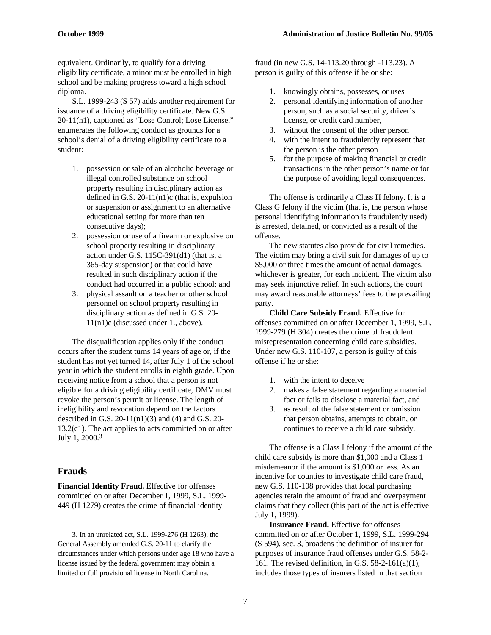equivalent. Ordinarily, to qualify for a driving eligibility certificate, a minor must be enrolled in high school and be making progress toward a high school diploma.

S.L. 1999-243 (S 57) adds another requirement for issuance of a driving eligibility certificate. New G.S. 20-11(n1), captioned as "Lose Control; Lose License," enumerates the following conduct as grounds for a school's denial of a driving eligibility certificate to a student:

- 1. possession or sale of an alcoholic beverage or illegal controlled substance on school property resulting in disciplinary action as defined in G.S.  $20-11(n1)c$  (that is, expulsion or suspension or assignment to an alternative educational setting for more than ten consecutive days);
- 2. possession or use of a firearm or explosive on school property resulting in disciplinary action under G.S. 115C-391(d1) (that is, a 365-day suspension) or that could have resulted in such disciplinary action if the conduct had occurred in a public school; and
- 3. physical assault on a teacher or other school personnel on school property resulting in disciplinary action as defined in G.S. 20- 11(n1)c (discussed under 1., above).

The disqualification applies only if the conduct occurs after the student turns 14 years of age or, if the student has not yet turned 14, after July 1 of the school year in which the student enrolls in eighth grade. Upon receiving notice from a school that a person is not eligible for a driving eligibility certificate, DMV must revoke the person's permit or license. The length of ineligibility and revocation depend on the factors described in G.S.  $20-11(n1)(3)$  and (4) and G.S. 20-13.2(c1). The act applies to acts committed on or after July 1, 2000.<sup>3</sup>

#### **Frauds**

-

**Financial Identity Fraud.** Effective for offenses committed on or after December 1, 1999, S.L. 1999- 449 (H 1279) creates the crime of financial identity

fraud (in new G.S. 14-113.20 through -113.23). A person is guilty of this offense if he or she:

- 1. knowingly obtains, possesses, or uses
- 2. personal identifying information of another person, such as a social security, driver's license, or credit card number,
- 3. without the consent of the other person
- 4. with the intent to fraudulently represent that the person is the other person
- 5. for the purpose of making financial or credit transactions in the other person's name or for the purpose of avoiding legal consequences.

The offense is ordinarily a Class H felony. It is a Class G felony if the victim (that is, the person whose personal identifying information is fraudulently used) is arrested, detained, or convicted as a result of the offense.

The new statutes also provide for civil remedies. The victim may bring a civil suit for damages of up to \$5,000 or three times the amount of actual damages, whichever is greater, for each incident. The victim also may seek injunctive relief. In such actions, the court may award reasonable attorneys' fees to the prevailing party.

**Child Care Subsidy Fraud.** Effective for offenses committed on or after December 1, 1999, S.L. 1999-279 (H 304) creates the crime of fraudulent misrepresentation concerning child care subsidies. Under new G.S. 110-107, a person is guilty of this offense if he or she:

- 1. with the intent to deceive
- 2. makes a false statement regarding a material fact or fails to disclose a material fact, and
- 3. as result of the false statement or omission that person obtains, attempts to obtain, or continues to receive a child care subsidy.

The offense is a Class I felony if the amount of the child care subsidy is more than \$1,000 and a Class 1 misdemeanor if the amount is \$1,000 or less. As an incentive for counties to investigate child care fraud, new G.S. 110-108 provides that local purchasing agencies retain the amount of fraud and overpayment claims that they collect (this part of the act is effective July 1, 1999).

**Insurance Fraud.** Effective for offenses committed on or after October 1, 1999, S.L. 1999-294 (S 594), sec. 3, broadens the definition of insurer for purposes of insurance fraud offenses under G.S. 58-2- 161. The revised definition, in G.S. 58-2-161(a)(1), includes those types of insurers listed in that section

<sup>3.</sup> In an unrelated act, S.L. 1999-276 (H 1263), the General Assembly amended G.S. 20-11 to clarify the circumstances under which persons under age 18 who have a license issued by the federal government may obtain a limited or full provisional license in North Carolina.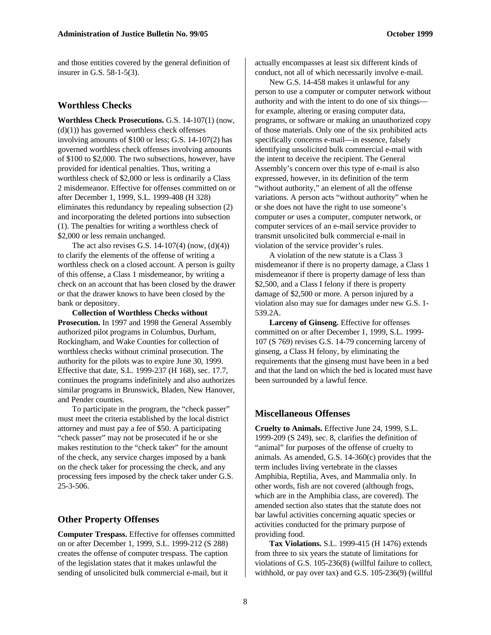and those entities covered by the general definition of insurer in G.S. 58-1-5(3).

#### **Worthless Checks**

**Worthless Check Prosecutions.** G.S. 14-107(1) (now,  $(d)(1)$ ) has governed worthless check offenses involving amounts of \$100 or less; G.S. 14-107(2) has governed worthless check offenses involving amounts of \$100 to \$2,000. The two subsections, however, have provided for identical penalties. Thus, writing a worthless check of \$2,000 or less is ordinarily a Class 2 misdemeanor. Effective for offenses committed on or after December 1, 1999, S.L. 1999-408 (H 328) eliminates this redundancy by repealing subsection (2) and incorporating the deleted portions into subsection (1). The penalties for writing a worthless check of \$2,000 or less remain unchanged.

The act also revises G.S.  $14-107(4)$  (now,  $(d)(4)$ ) to clarify the elements of the offense of writing a worthless check on a closed account. A person is guilty of this offense, a Class 1 misdemeanor, by writing a check on an account that has been closed by the drawer *or* that the drawer knows to have been closed by the bank or depository.

**Collection of Worthless Checks without Prosecution.** In 1997 and 1998 the General Assembly authorized pilot programs in Columbus, Durham, Rockingham, and Wake Counties for collection of worthless checks without criminal prosecution. The authority for the pilots was to expire June 30, 1999. Effective that date, S.L. 1999-237 (H 168), sec. 17.7, continues the programs indefinitely and also authorizes similar programs in Brunswick, Bladen, New Hanover, and Pender counties.

To participate in the program, the "check passer" must meet the criteria established by the local district attorney and must pay a fee of \$50. A participating "check passer" may not be prosecuted if he or she makes restitution to the "check taker" for the amount of the check, any service charges imposed by a bank on the check taker for processing the check, and any processing fees imposed by the check taker under G.S. 25-3-506.

#### **Other Property Offenses**

**Computer Trespass.** Effective for offenses committed on or after December 1, 1999, S.L. 1999-212 (S 288) creates the offense of computer trespass. The caption of the legislation states that it makes unlawful the sending of unsolicited bulk commercial e-mail, but it

actually encompasses at least six different kinds of conduct, not all of which necessarily involve e-mail.

New G.S. 14-458 makes it unlawful for any person to use a computer or computer network without authority and with the intent to do one of six things for example, altering or erasing computer data, programs, or software or making an unauthorized copy of those materials. Only one of the six prohibited acts specifically concerns e-mail—in essence, falsely identifying unsolicited bulk commercial e-mail with the intent to deceive the recipient. The General Assembly's concern over this type of e-mail is also expressed, however, in its definition of the term "without authority," an element of all the offense variations. A person acts "without authority" when he or she does not have the right to use someone's computer *or* uses a computer, computer network, or computer services of an e-mail service provider to transmit unsolicited bulk commercial e-mail in violation of the service provider's rules.

A violation of the new statute is a Class 3 misdemeanor if there is no property damage, a Class 1 misdemeanor if there is property damage of less than \$2,500, and a Class I felony if there is property damage of \$2,500 or more. A person injured by a violation also may sue for damages under new G.S. 1- 539.2A.

Larceny of Ginseng. Effective for offenses committed on or after December 1, 1999, S.L. 1999- 107 (S 769) revises G.S. 14-79 concerning larceny of ginseng, a Class H felony, by eliminating the requirements that the ginseng must have been in a bed and that the land on which the bed is located must have been surrounded by a lawful fence.

#### **Miscellaneous Offenses**

**Cruelty to Animals.** Effective June 24, 1999, S.L. 1999-209 (S 249), sec. 8, clarifies the definition of "animal" for purposes of the offense of cruelty to animals. As amended, G.S. 14-360(c) provides that the term includes living vertebrate in the classes Amphibia, Reptilia, Aves, and Mammalia only. In other words, fish are not covered (although frogs, which are in the Amphibia class, are covered). The amended section also states that the statute does not bar lawful activities concerning aquatic species or activities conducted for the primary purpose of providing food.

**Tax Violations.** S.L. 1999-415 (H 1476) extends from three to six years the statute of limitations for violations of G.S. 105-236(8) (willful failure to collect, withhold, or pay over tax) and G.S. 105-236(9) (willful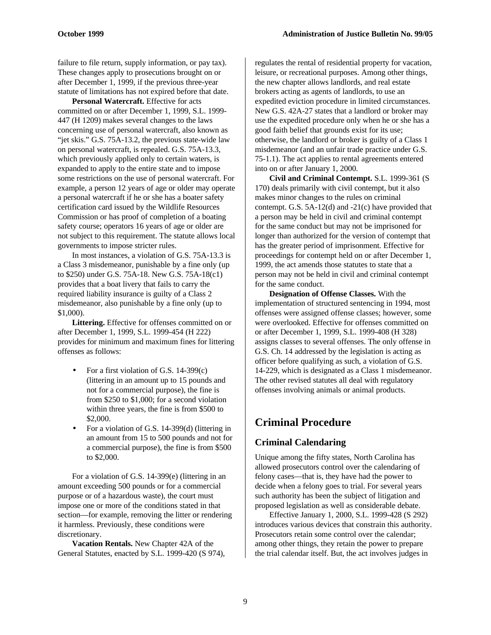failure to file return, supply information, or pay tax). These changes apply to prosecutions brought on or after December 1, 1999, if the previous three-year statute of limitations has not expired before that date.

**Personal Watercraft.** Effective for acts committed on or after December 1, 1999, S.L. 1999- 447 (H 1209) makes several changes to the laws concerning use of personal watercraft, also known as "jet skis." G.S. 75A-13.2, the previous state-wide law on personal watercraft, is repealed. G.S. 75A-13.3, which previously applied only to certain waters, is expanded to apply to the entire state and to impose some restrictions on the use of personal watercraft. For example, a person 12 years of age or older may operate a personal watercraft if he or she has a boater safety certification card issued by the Wildlife Resources Commission or has proof of completion of a boating safety course; operators 16 years of age or older are not subject to this requirement. The statute allows local governments to impose stricter rules.

In most instances, a violation of G.S. 75A-13.3 is a Class 3 misdemeanor, punishable by a fine only (up to \$250) under G.S. 75A-18. New G.S. 75A-18(c1) provides that a boat livery that fails to carry the required liability insurance is guilty of a Class 2 misdemeanor, also punishable by a fine only (up to \$1,000).

**Littering.** Effective for offenses committed on or after December 1, 1999, S.L. 1999-454 (H 222) provides for minimum and maximum fines for littering offenses as follows:

- For a first violation of G.S. 14-399(c) (littering in an amount up to 15 pounds and not for a commercial purpose), the fine is from \$250 to \$1,000; for a second violation within three years, the fine is from \$500 to \$2,000.
- For a violation of G.S. 14-399(d) (littering in an amount from 15 to 500 pounds and not for a commercial purpose), the fine is from \$500 to \$2,000.

For a violation of G.S. 14-399(e) (littering in an amount exceeding 500 pounds or for a commercial purpose or of a hazardous waste), the court must impose one or more of the conditions stated in that section—for example, removing the litter or rendering it harmless. Previously, these conditions were discretionary.

**Vacation Rentals.** New Chapter 42A of the General Statutes, enacted by S.L. 1999-420 (S 974),

regulates the rental of residential property for vacation, leisure, or recreational purposes. Among other things, the new chapter allows landlords, and real estate brokers acting as agents of landlords, to use an expedited eviction procedure in limited circumstances. New G.S. 42A-27 states that a landlord or broker may use the expedited procedure only when he or she has a good faith belief that grounds exist for its use; otherwise, the landlord or broker is guilty of a Class 1 misdemeanor (and an unfair trade practice under G.S. 75-1.1). The act applies to rental agreements entered into on or after January 1, 2000.

**Civil and Criminal Contempt.** S.L. 1999-361 (S 170) deals primarily with civil contempt, but it also makes minor changes to the rules on criminal contempt. G.S. 5A-12(d) and -21(c) have provided that a person may be held in civil and criminal contempt for the same conduct but may not be imprisoned for longer than authorized for the version of contempt that has the greater period of imprisonment. Effective for proceedings for contempt held on or after December 1, 1999, the act amends those statutes to state that a person may not be held in civil and criminal contempt for the same conduct.

**Designation of Offense Classes.** With the implementation of structured sentencing in 1994, most offenses were assigned offense classes; however, some were overlooked. Effective for offenses committed on or after December 1, 1999, S.L. 1999-408 (H 328) assigns classes to several offenses. The only offense in G.S. Ch. 14 addressed by the legislation is acting as officer before qualifying as such, a violation of G.S. 14-229, which is designated as a Class 1 misdemeanor. The other revised statutes all deal with regulatory offenses involving animals or animal products.

# **Criminal Procedure**

### **Criminal Calendaring**

Unique among the fifty states, North Carolina has allowed prosecutors control over the calendaring of felony cases—that is, they have had the power to decide when a felony goes to trial. For several years such authority has been the subject of litigation and proposed legislation as well as considerable debate.

Effective January 1, 2000, S.L. 1999-428 (S 292) introduces various devices that constrain this authority. Prosecutors retain some control over the calendar; among other things, they retain the power to prepare the trial calendar itself. But, the act involves judges in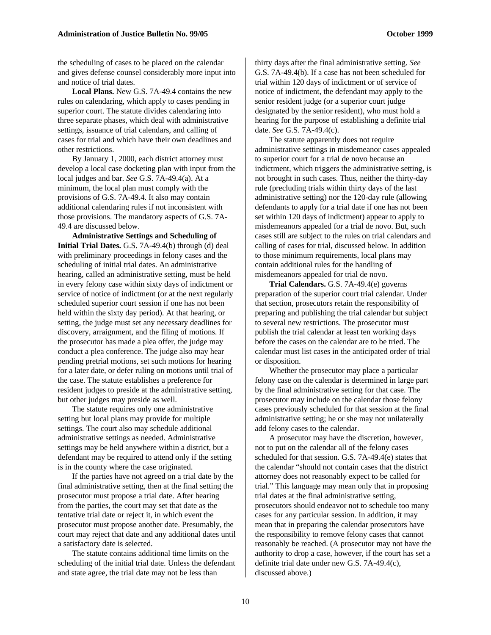the scheduling of cases to be placed on the calendar and gives defense counsel considerably more input into and notice of trial dates.

**Local Plans.** New G.S. 7A-49.4 contains the new rules on calendaring, which apply to cases pending in superior court. The statute divides calendaring into three separate phases, which deal with administrative settings, issuance of trial calendars, and calling of cases for trial and which have their own deadlines and other restrictions.

By January 1, 2000, each district attorney must develop a local case docketing plan with input from the local judges and bar. *See* G.S. 7A-49.4(a). At a minimum, the local plan must comply with the provisions of G.S. 7A-49.4. It also may contain additional calendaring rules if not inconsistent with those provisions. The mandatory aspects of G.S. 7A-49.4 are discussed below.

**Administrative Settings and Scheduling of Initial Trial Dates.** G.S. 7A-49.4(b) through (d) deal with preliminary proceedings in felony cases and the scheduling of initial trial dates. An administrative hearing, called an administrative setting, must be held in every felony case within sixty days of indictment or service of notice of indictment (or at the next regularly scheduled superior court session if one has not been held within the sixty day period). At that hearing, or setting, the judge must set any necessary deadlines for discovery, arraignment, and the filing of motions. If the prosecutor has made a plea offer, the judge may conduct a plea conference. The judge also may hear pending pretrial motions, set such motions for hearing for a later date, or defer ruling on motions until trial of the case. The statute establishes a preference for resident judges to preside at the administrative setting, but other judges may preside as well.

The statute requires only one administrative setting but local plans may provide for multiple settings. The court also may schedule additional administrative settings as needed. Administrative settings may be held anywhere within a district, but a defendant may be required to attend only if the setting is in the county where the case originated.

If the parties have not agreed on a trial date by the final administrative setting, then at the final setting the prosecutor must propose a trial date. After hearing from the parties, the court may set that date as the tentative trial date or reject it, in which event the prosecutor must propose another date. Presumably, the court may reject that date and any additional dates until a satisfactory date is selected.

The statute contains additional time limits on the scheduling of the initial trial date. Unless the defendant and state agree, the trial date may not be less than

thirty days after the final administrative setting. *See* G.S. 7A-49.4(b). If a case has not been scheduled for trial within 120 days of indictment or of service of notice of indictment, the defendant may apply to the senior resident judge (or a superior court judge designated by the senior resident), who must hold a hearing for the purpose of establishing a definite trial date. *See* G.S. 7A-49.4(c).

The statute apparently does not require administrative settings in misdemeanor cases appealed to superior court for a trial de novo because an indictment, which triggers the administrative setting, is not brought in such cases. Thus, neither the thirty-day rule (precluding trials within thirty days of the last administrative setting) nor the 120-day rule (allowing defendants to apply for a trial date if one has not been set within 120 days of indictment) appear to apply to misdemeanors appealed for a trial de novo. But, such cases still are subject to the rules on trial calendars and calling of cases for trial, discussed below. In addition to those minimum requirements, local plans may contain additional rules for the handling of misdemeanors appealed for trial de novo.

**Trial Calendars.** G.S. 7A-49.4(e) governs preparation of the superior court trial calendar. Under that section, prosecutors retain the responsibility of preparing and publishing the trial calendar but subject to several new restrictions. The prosecutor must publish the trial calendar at least ten working days before the cases on the calendar are to be tried. The calendar must list cases in the anticipated order of trial or disposition.

Whether the prosecutor may place a particular felony case on the calendar is determined in large part by the final administrative setting for that case. The prosecutor may include on the calendar those felony cases previously scheduled for that session at the final administrative setting; he or she may not unilaterally add felony cases to the calendar.

A prosecutor may have the discretion, however, not to put on the calendar all of the felony cases scheduled for that session. G.S. 7A-49.4(e) states that the calendar "should not contain cases that the district attorney does not reasonably expect to be called for trial." This language may mean only that in proposing trial dates at the final administrative setting, prosecutors should endeavor not to schedule too many cases for any particular session. In addition, it may mean that in preparing the calendar prosecutors have the responsibility to remove felony cases that cannot reasonably be reached. (A prosecutor may not have the authority to drop a case, however, if the court has set a definite trial date under new G.S. 7A-49.4(c), discussed above.)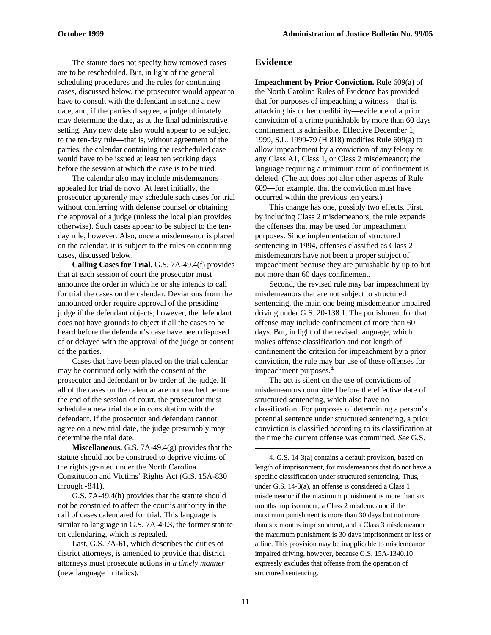The statute does not specify how removed cases are to be rescheduled. But, in light of the general scheduling procedures and the rules for continuing cases, discussed below, the prosecutor would appear to have to consult with the defendant in setting a new date; and, if the parties disagree, a judge ultimately may determine the date, as at the final administrative setting. Any new date also would appear to be subject to the ten-day rule—that is, without agreement of the parties, the calendar containing the rescheduled case would have to be issued at least ten working days before the session at which the case is to be tried.

The calendar also may include misdemeanors appealed for trial de novo. At least initially, the prosecutor apparently may schedule such cases for trial without conferring with defense counsel or obtaining the approval of a judge (unless the local plan provides otherwise). Such cases appear to be subject to the tenday rule, however. Also, once a misdemeanor is placed on the calendar, it is subject to the rules on continuing cases, discussed below.

**Calling Cases for Trial.** G.S. 7A-49.4(f) provides that at each session of court the prosecutor must announce the order in which he or she intends to call for trial the cases on the calendar. Deviations from the announced order require approval of the presiding judge if the defendant objects; however, the defendant does not have grounds to object if all the cases to be heard before the defendant's case have been disposed of or delayed with the approval of the judge or consent of the parties.

Cases that have been placed on the trial calendar may be continued only with the consent of the prosecutor and defendant or by order of the judge. If all of the cases on the calendar are not reached before the end of the session of court, the prosecutor must schedule a new trial date in consultation with the defendant. If the prosecutor and defendant cannot agree on a new trial date, the judge presumably may determine the trial date.

**Miscellaneous.** G.S. 7A-49.4(g) provides that the statute should not be construed to deprive victims of the rights granted under the North Carolina Constitution and Victims' Rights Act (G.S. 15A-830 through -841).

G.S. 7A-49.4(h) provides that the statute should not be construed to affect the court's authority in the call of cases calendared for trial. This language is similar to language in G.S. 7A-49.3, the former statute on calendaring, which is repealed.

Last, G.S. 7A-61, which describes the duties of district attorneys, is amended to provide that district attorneys must prosecute actions *in a timely manner* (new language in italics)*.*

#### **Evidence**

**Impeachment by Prior Conviction.** Rule 609(a) of the North Carolina Rules of Evidence has provided that for purposes of impeaching a witness—that is, attacking his or her credibility—evidence of a prior conviction of a crime punishable by more than 60 days confinement is admissible. Effective December 1, 1999, S.L. 1999-79 (H 818) modifies Rule 609(a) to allow impeachment by a conviction of any felony or any Class A1, Class 1, or Class 2 misdemeanor; the language requiring a minimum term of confinement is deleted. (The act does not alter other aspects of Rule 609—for example, that the conviction must have occurred within the previous ten years.)

This change has one, possibly two effects. First, by including Class 2 misdemeanors, the rule expands the offenses that may be used for impeachment purposes. Since implementation of structured sentencing in 1994, offenses classified as Class 2 misdemeanors have not been a proper subject of impeachment because they are punishable by up to but not more than 60 days confinement.

Second, the revised rule may bar impeachment by misdemeanors that are not subject to structured sentencing, the main one being misdemeanor impaired driving under G.S. 20-138.1. The punishment for that offense may include confinement of more than 60 days. But, in light of the revised language, which makes offense classification and not length of confinement the criterion for impeachment by a prior conviction, the rule may bar use of these offenses for impeachment purposes.<sup>4</sup>

The act is silent on the use of convictions of misdemeanors committed before the effective date of structured sentencing, which also have no classification. For purposes of determining a person's potential sentence under structured sentencing, a prior conviction is classified according to its classification at the time the current offense was committed. *See* G.S.

4. G.S. 14-3(a) contains a default provision, based on length of imprisonment, for misdemeanors that do not have a specific classification under structured sentencing. Thus, under G.S. 14-3(a), an offense is considered a Class 1 misdemeanor if the maximum punishment is more than six months imprisonment, a Class 2 misdemeanor if the maximum punishment is more than 30 days but not more than six months imprisonment, and a Class 3 misdemeanor if the maximum punishment is 30 days imprisonment or less or a fine. This provision may be inapplicable to misdemeanor impaired driving, however, because G.S. 15A-1340.10 expressly excludes that offense from the operation of structured sentencing.

 $\overline{a}$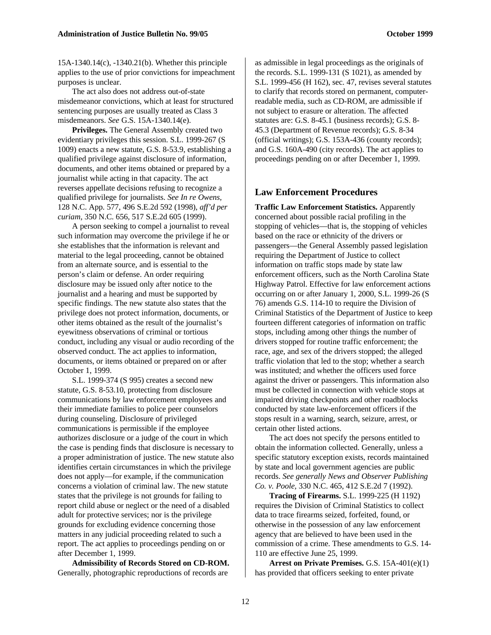15A-1340.14(c), -1340.21(b). Whether this principle applies to the use of prior convictions for impeachment purposes is unclear.

The act also does not address out-of-state misdemeanor convictions, which at least for structured sentencing purposes are usually treated as Class 3 misdemeanors. *See* G.S. 15A-1340.14(e).

**Privileges.** The General Assembly created two evidentiary privileges this session. S.L. 1999-267 (S 1009) enacts a new statute, G.S. 8-53.9, establishing a qualified privilege against disclosure of information, documents, and other items obtained or prepared by a journalist while acting in that capacity. The act reverses appellate decisions refusing to recognize a qualified privilege for journalists. *See In re Owens,* 128 N.C. App. 577, 496 S.E.2d 592 (1998), *aff'd per curiam,* 350 N.C. 656, 517 S.E.2d 605 (1999).

A person seeking to compel a journalist to reveal such information may overcome the privilege if he or she establishes that the information is relevant and material to the legal proceeding, cannot be obtained from an alternate source, and is essential to the person's claim or defense. An order requiring disclosure may be issued only after notice to the journalist and a hearing and must be supported by specific findings. The new statute also states that the privilege does not protect information, documents, or other items obtained as the result of the journalist's eyewitness observations of criminal or tortious conduct, including any visual or audio recording of the observed conduct. The act applies to information, documents, or items obtained or prepared on or after October 1, 1999.

S.L. 1999-374 (S 995) creates a second new statute, G.S. 8-53.10, protecting from disclosure communications by law enforcement employees and their immediate families to police peer counselors during counseling. Disclosure of privileged communications is permissible if the employee authorizes disclosure or a judge of the court in which the case is pending finds that disclosure is necessary to a proper administration of justice. The new statute also identifies certain circumstances in which the privilege does not apply—for example, if the communication concerns a violation of criminal law. The new statute states that the privilege is not grounds for failing to report child abuse or neglect or the need of a disabled adult for protective services; nor is the privilege grounds for excluding evidence concerning those matters in any judicial proceeding related to such a report. The act applies to proceedings pending on or after December 1, 1999.

**Admissibility of Records Stored on CD-ROM.** Generally, photographic reproductions of records are

as admissible in legal proceedings as the originals of the records. S.L. 1999-131 (S 1021), as amended by S.L. 1999-456 (H 162), sec. 47, revises several statutes to clarify that records stored on permanent, computerreadable media, such as CD-ROM, are admissible if not subject to erasure or alteration. The affected statutes are: G.S. 8-45.1 (business records); G.S. 8- 45.3 (Department of Revenue records); G.S. 8-34 (official writings); G.S. 153A-436 (county records); and G.S. 160A-490 (city records). The act applies to proceedings pending on or after December 1, 1999.

#### **Law Enforcement Procedures**

**Traffic Law Enforcement Statistics.** Apparently concerned about possible racial profiling in the stopping of vehicles—that is, the stopping of vehicles based on the race or ethnicity of the drivers or passengers—the General Assembly passed legislation requiring the Department of Justice to collect information on traffic stops made by state law enforcement officers, such as the North Carolina State Highway Patrol. Effective for law enforcement actions occurring on or after January 1, 2000, S.L. 1999-26 (S 76) amends G.S. 114-10 to require the Division of Criminal Statistics of the Department of Justice to keep fourteen different categories of information on traffic stops, including among other things the number of drivers stopped for routine traffic enforcement; the race, age, and sex of the drivers stopped; the alleged traffic violation that led to the stop; whether a search was instituted; and whether the officers used force against the driver or passengers. This information also must be collected in connection with vehicle stops at impaired driving checkpoints and other roadblocks conducted by state law-enforcement officers if the stops result in a warning, search, seizure, arrest, or certain other listed actions.

The act does not specify the persons entitled to obtain the information collected. Generally, unless a specific statutory exception exists, records maintained by state and local government agencies are public records. *See generally News and Observer Publishing Co. v. Poole,* 330 N.C. 465, 412 S.E.2d 7 (1992).

**Tracing of Firearms.** S.L. 1999-225 (H 1192) requires the Division of Criminal Statistics to collect data to trace firearms seized, forfeited, found, or otherwise in the possession of any law enforcement agency that are believed to have been used in the commission of a crime. These amendments to G.S. 14- 110 are effective June 25, 1999.

**Arrest on Private Premises.** G.S. 15A-401(e)(1) has provided that officers seeking to enter private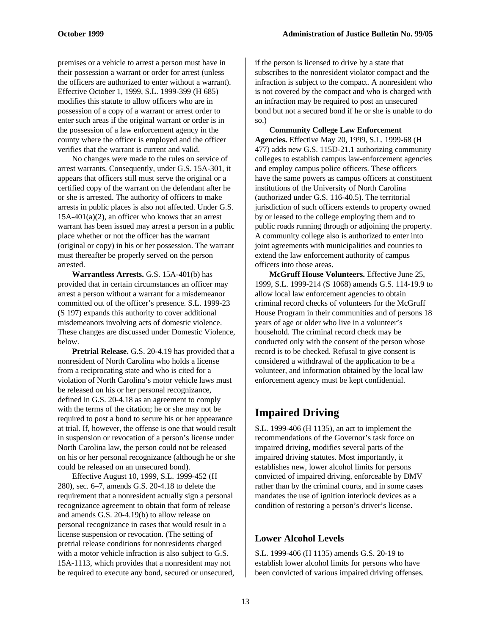premises or a vehicle to arrest a person must have in their possession a warrant or order for arrest (unless the officers are authorized to enter without a warrant). Effective October 1, 1999, S.L. 1999-399 (H 685) modifies this statute to allow officers who are in possession of a copy of a warrant or arrest order to enter such areas if the original warrant or order is in the possession of a law enforcement agency in the county where the officer is employed and the officer verifies that the warrant is current and valid.

No changes were made to the rules on service of arrest warrants. Consequently, under G.S. 15A-301, it appears that officers still must serve the original or a certified copy of the warrant on the defendant after he or she is arrested. The authority of officers to make arrests in public places is also not affected. Under G.S. 15A-401(a)(2), an officer who knows that an arrest warrant has been issued may arrest a person in a public place whether or not the officer has the warrant (original or copy) in his or her possession. The warrant must thereafter be properly served on the person arrested.

**Warrantless Arrests.** G.S. 15A-401(b) has provided that in certain circumstances an officer may arrest a person without a warrant for a misdemeanor committed out of the officer's presence. S.L. 1999-23 (S 197) expands this authority to cover additional misdemeanors involving acts of domestic violence. These changes are discussed under Domestic Violence, below.

**Pretrial Release.** G.S. 20-4.19 has provided that a nonresident of North Carolina who holds a license from a reciprocating state and who is cited for a violation of North Carolina's motor vehicle laws must be released on his or her personal recognizance, defined in G.S. 20-4.18 as an agreement to comply with the terms of the citation; he or she may not be required to post a bond to secure his or her appearance at trial. If, however, the offense is one that would result in suspension or revocation of a person's license under North Carolina law, the person could not be released on his or her personal recognizance (although he or she could be released on an unsecured bond).

Effective August 10, 1999, S.L. 1999-452 (H 280), sec. 6–7, amends G.S. 20-4.18 to delete the requirement that a nonresident actually sign a personal recognizance agreement to obtain that form of release and amends G.S. 20-4.19(b) to allow release on personal recognizance in cases that would result in a license suspension or revocation. (The setting of pretrial release conditions for nonresidents charged with a motor vehicle infraction is also subject to G.S. 15A-1113, which provides that a nonresident may not be required to execute any bond, secured or unsecured, if the person is licensed to drive by a state that subscribes to the nonresident violator compact and the infraction is subject to the compact. A nonresident who is not covered by the compact and who is charged with an infraction may be required to post an unsecured bond but not a secured bond if he or she is unable to do so.)

**Community College Law Enforcement Agencies.** Effective May 20, 1999, S.L. 1999-68 (H 477) adds new G.S. 115D-21.1 authorizing community colleges to establish campus law-enforcement agencies and employ campus police officers. These officers have the same powers as campus officers at constituent institutions of the University of North Carolina (authorized under G.S. 116-40.5). The territorial jurisdiction of such officers extends to property owned by or leased to the college employing them and to public roads running through or adjoining the property. A community college also is authorized to enter into joint agreements with municipalities and counties to extend the law enforcement authority of campus officers into those areas.

**McGruff House Volunteers.** Effective June 25, 1999, S.L. 1999-214 (S 1068) amends G.S. 114-19.9 to allow local law enforcement agencies to obtain criminal record checks of volunteers for the McGruff House Program in their communities and of persons 18 years of age or older who live in a volunteer's household. The criminal record check may be conducted only with the consent of the person whose record is to be checked. Refusal to give consent is considered a withdrawal of the application to be a volunteer, and information obtained by the local law enforcement agency must be kept confidential.

# **Impaired Driving**

S.L. 1999-406 (H 1135), an act to implement the recommendations of the Governor's task force on impaired driving, modifies several parts of the impaired driving statutes. Most importantly, it establishes new, lower alcohol limits for persons convicted of impaired driving, enforceable by DMV rather than by the criminal courts, and in some cases mandates the use of ignition interlock devices as a condition of restoring a person's driver's license.

# **Lower Alcohol Levels**

S.L. 1999-406 (H 1135) amends G.S. 20-19 to establish lower alcohol limits for persons who have been convicted of various impaired driving offenses.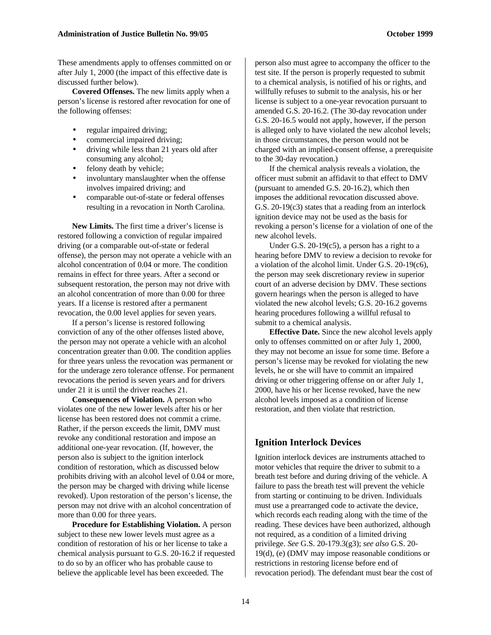These amendments apply to offenses committed on or after July 1, 2000 (the impact of this effective date is discussed further below).

**Covered Offenses.** The new limits apply when a person's license is restored after revocation for one of the following offenses:

- regular impaired driving;
- commercial impaired driving;
- driving while less than 21 years old after consuming any alcohol;
- felony death by vehicle;
- involuntary manslaughter when the offense involves impaired driving; and
- comparable out-of-state or federal offenses resulting in a revocation in North Carolina.

**New Limits.** The first time a driver's license is restored following a conviction of regular impaired driving (or a comparable out-of-state or federal offense), the person may not operate a vehicle with an alcohol concentration of 0.04 or more. The condition remains in effect for three years. After a second or subsequent restoration, the person may not drive with an alcohol concentration of more than 0.00 for three years. If a license is restored after a permanent revocation, the 0.00 level applies for seven years.

If a person's license is restored following conviction of any of the other offenses listed above, the person may not operate a vehicle with an alcohol concentration greater than 0.00. The condition applies for three years unless the revocation was permanent or for the underage zero tolerance offense. For permanent revocations the period is seven years and for drivers under 21 it is until the driver reaches 21.

**Consequences of Violation.** A person who violates one of the new lower levels after his or her license has been restored does not commit a crime. Rather, if the person exceeds the limit, DMV must revoke any conditional restoration and impose an additional one-year revocation. (If, however, the person also is subject to the ignition interlock condition of restoration, which as discussed below prohibits driving with an alcohol level of 0.04 or more, the person may be charged with driving while license revoked). Upon restoration of the person's license, the person may not drive with an alcohol concentration of more than 0.00 for three years.

**Procedure for Establishing Violation.** A person subject to these new lower levels must agree as a condition of restoration of his or her license to take a chemical analysis pursuant to G.S. 20-16.2 if requested to do so by an officer who has probable cause to believe the applicable level has been exceeded. The

person also must agree to accompany the officer to the test site. If the person is properly requested to submit to a chemical analysis, is notified of his or rights, and willfully refuses to submit to the analysis, his or her license is subject to a one-year revocation pursuant to amended G.S. 20-16.2. (The 30-day revocation under G.S. 20-16.5 would not apply, however, if the person is alleged only to have violated the new alcohol levels; in those circumstances, the person would not be charged with an implied-consent offense, a prerequisite to the 30-day revocation.)

If the chemical analysis reveals a violation, the officer must submit an affidavit to that effect to DMV (pursuant to amended G.S. 20-16.2), which then imposes the additional revocation discussed above. G.S. 20-19(c3) states that a reading from an interlock ignition device may not be used as the basis for revoking a person's license for a violation of one of the new alcohol levels.

Under G.S. 20-19(c5), a person has a right to a hearing before DMV to review a decision to revoke for a violation of the alcohol limit. Under G.S. 20-19(c6), the person may seek discretionary review in superior court of an adverse decision by DMV. These sections govern hearings when the person is alleged to have violated the new alcohol levels; G.S. 20-16.2 governs hearing procedures following a willful refusal to submit to a chemical analysis.

**Effective Date.** Since the new alcohol levels apply only to offenses committed on or after July 1, 2000, they may not become an issue for some time. Before a person's license may be revoked for violating the new levels, he or she will have to commit an impaired driving or other triggering offense on or after July 1, 2000, have his or her license revoked, have the new alcohol levels imposed as a condition of license restoration, and then violate that restriction.

#### **Ignition Interlock Devices**

Ignition interlock devices are instruments attached to motor vehicles that require the driver to submit to a breath test before and during driving of the vehicle. A failure to pass the breath test will prevent the vehicle from starting or continuing to be driven. Individuals must use a prearranged code to activate the device, which records each reading along with the time of the reading. These devices have been authorized, although not required, as a condition of a limited driving privilege. *See* G.S. 20-179.3(g3); *see also* G.S. 20- 19(d), (e) (DMV may impose reasonable conditions or restrictions in restoring license before end of revocation period). The defendant must bear the cost of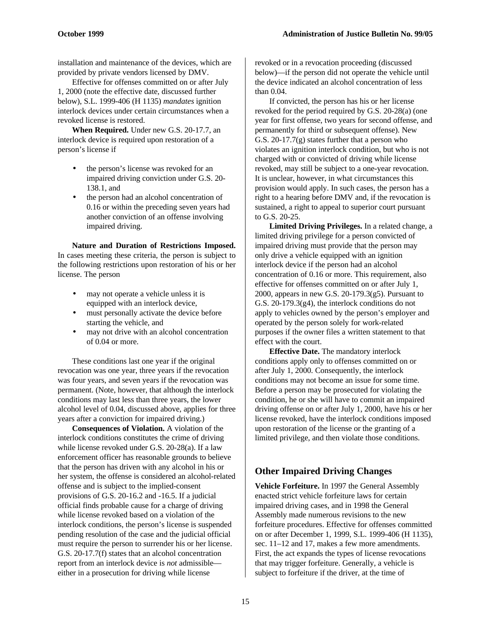installation and maintenance of the devices, which are provided by private vendors licensed by DMV.

Effective for offenses committed on or after July 1, 2000 (note the effective date, discussed further below), S.L. 1999-406 (H 1135) *mandates* ignition interlock devices under certain circumstances when a revoked license is restored.

**When Required.** Under new G.S. 20-17.7, an interlock device is required upon restoration of a person's license if

- the person's license was revoked for an impaired driving conviction under G.S. 20- 138.1, and
- the person had an alcohol concentration of 0.16 or within the preceding seven years had another conviction of an offense involving impaired driving.

**Nature and Duration of Restrictions Imposed.** In cases meeting these criteria, the person is subject to the following restrictions upon restoration of his or her license. The person

- may not operate a vehicle unless it is equipped with an interlock device,
- must personally activate the device before starting the vehicle, and
- may not drive with an alcohol concentration of 0.04 or more.

These conditions last one year if the original revocation was one year, three years if the revocation was four years, and seven years if the revocation was permanent. (Note, however, that although the interlock conditions may last less than three years, the lower alcohol level of 0.04, discussed above, applies for three years after a conviction for impaired driving.)

**Consequences of Violation.** A violation of the interlock conditions constitutes the crime of driving while license revoked under G.S. 20-28(a). If a law enforcement officer has reasonable grounds to believe that the person has driven with any alcohol in his or her system, the offense is considered an alcohol-related offense and is subject to the implied-consent provisions of G.S. 20-16.2 and -16.5. If a judicial official finds probable cause for a charge of driving while license revoked based on a violation of the interlock conditions, the person's license is suspended pending resolution of the case and the judicial official must require the person to surrender his or her license. G.S. 20-17.7(f) states that an alcohol concentration report from an interlock device is *not* admissible either in a prosecution for driving while license

revoked or in a revocation proceeding (discussed below)—if the person did not operate the vehicle until the device indicated an alcohol concentration of less than 0.04.

If convicted, the person has his or her license revoked for the period required by G.S. 20-28(a) (one year for first offense, two years for second offense, and permanently for third or subsequent offense). New G.S. 20-17.7(g) states further that a person who violates an ignition interlock condition, but who is not charged with or convicted of driving while license revoked, may still be subject to a one-year revocation. It is unclear, however, in what circumstances this provision would apply. In such cases, the person has a right to a hearing before DMV and, if the revocation is sustained, a right to appeal to superior court pursuant to G.S. 20-25.

**Limited Driving Privileges.** In a related change, a limited driving privilege for a person convicted of impaired driving must provide that the person may only drive a vehicle equipped with an ignition interlock device if the person had an alcohol concentration of 0.16 or more. This requirement, also effective for offenses committed on or after July 1, 2000, appears in new G.S. 20-179.3(g5). Pursuant to G.S. 20-179.3(g4), the interlock conditions do not apply to vehicles owned by the person's employer and operated by the person solely for work-related purposes if the owner files a written statement to that effect with the court.

**Effective Date.** The mandatory interlock conditions apply only to offenses committed on or after July 1, 2000. Consequently, the interlock conditions may not become an issue for some time. Before a person may be prosecuted for violating the condition, he or she will have to commit an impaired driving offense on or after July 1, 2000, have his or her license revoked, have the interlock conditions imposed upon restoration of the license or the granting of a limited privilege, and then violate those conditions.

# **Other Impaired Driving Changes**

**Vehicle Forfeiture.** In 1997 the General Assembly enacted strict vehicle forfeiture laws for certain impaired driving cases, and in 1998 the General Assembly made numerous revisions to the new forfeiture procedures. Effective for offenses committed on or after December 1, 1999, S.L. 1999-406 (H 1135), sec. 11–12 and 17, makes a few more amendments. First, the act expands the types of license revocations that may trigger forfeiture. Generally, a vehicle is subject to forfeiture if the driver, at the time of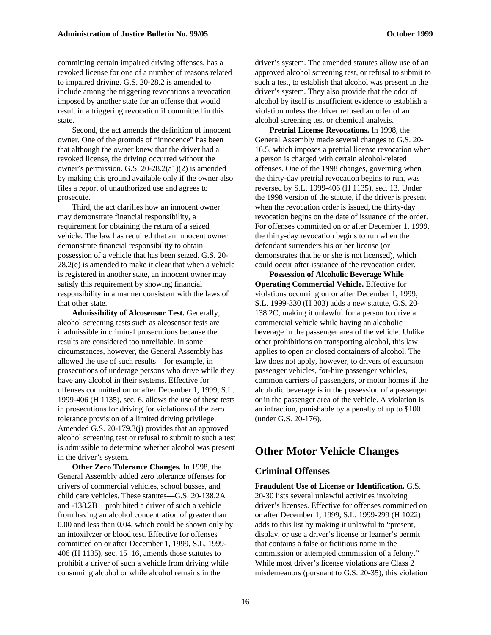committing certain impaired driving offenses, has a revoked license for one of a number of reasons related to impaired driving. G.S. 20-28.2 is amended to include among the triggering revocations a revocation imposed by another state for an offense that would result in a triggering revocation if committed in this state.

Second, the act amends the definition of innocent owner. One of the grounds of "innocence" has been that although the owner knew that the driver had a revoked license, the driving occurred without the owner's permission. G.S. 20-28.2(a1)(2) is amended by making this ground available only if the owner also files a report of unauthorized use and agrees to prosecute.

Third, the act clarifies how an innocent owner may demonstrate financial responsibility, a requirement for obtaining the return of a seized vehicle. The law has required that an innocent owner demonstrate financial responsibility to obtain possession of a vehicle that has been seized. G.S. 20- 28.2(e) is amended to make it clear that when a vehicle is registered in another state, an innocent owner may satisfy this requirement by showing financial responsibility in a manner consistent with the laws of that other state.

**Admissibility of Alcosensor Test.** Generally, alcohol screening tests such as alcosensor tests are inadmissible in criminal prosecutions because the results are considered too unreliable. In some circumstances, however, the General Assembly has allowed the use of such results—for example, in prosecutions of underage persons who drive while they have any alcohol in their systems. Effective for offenses committed on or after December 1, 1999, S.L. 1999-406 (H 1135), sec. 6, allows the use of these tests in prosecutions for driving for violations of the zero tolerance provision of a limited driving privilege. Amended G.S. 20-179.3(j) provides that an approved alcohol screening test or refusal to submit to such a test is admissible to determine whether alcohol was present in the driver's system.

**Other Zero Tolerance Changes.** In 1998, the General Assembly added zero tolerance offenses for drivers of commercial vehicles, school busses, and child care vehicles. These statutes—G.S. 20-138.2A and -138.2B—prohibited a driver of such a vehicle from having an alcohol concentration of greater than 0.00 and less than 0.04, which could be shown only by an intoxilyzer or blood test. Effective for offenses committed on or after December 1, 1999, S.L. 1999- 406 (H 1135), sec. 15–16, amends those statutes to prohibit a driver of such a vehicle from driving while consuming alcohol or while alcohol remains in the

driver's system. The amended statutes allow use of an approved alcohol screening test, or refusal to submit to such a test, to establish that alcohol was present in the driver's system. They also provide that the odor of alcohol by itself is insufficient evidence to establish a violation unless the driver refused an offer of an alcohol screening test or chemical analysis.

**Pretrial License Revocations.** In 1998, the General Assembly made several changes to G.S. 20- 16.5, which imposes a pretrial license revocation when a person is charged with certain alcohol-related offenses. One of the 1998 changes, governing when the thirty-day pretrial revocation begins to run, was reversed by S.L. 1999-406 (H 1135), sec. 13. Under the 1998 version of the statute, if the driver is present when the revocation order is issued, the thirty-day revocation begins on the date of issuance of the order. For offenses committed on or after December 1, 1999, the thirty-day revocation begins to run when the defendant surrenders his or her license (or demonstrates that he or she is not licensed), which could occur after issuance of the revocation order.

**Possession of Alcoholic Beverage While Operating Commercial Vehicle.** Effective for violations occurring on or after December 1, 1999, S.L. 1999-330 (H 303) adds a new statute, G.S. 20- 138.2C, making it unlawful for a person to drive a commercial vehicle while having an alcoholic beverage in the passenger area of the vehicle. Unlike other prohibitions on transporting alcohol, this law applies to open *or* closed containers of alcohol. The law does not apply, however, to drivers of excursion passenger vehicles, for-hire passenger vehicles, common carriers of passengers, or motor homes if the alcoholic beverage is in the possession of a passenger or in the passenger area of the vehicle. A violation is an infraction, punishable by a penalty of up to \$100 (under G.S. 20-176).

# **Other Motor Vehicle Changes**

#### **Criminal Offenses**

**Fraudulent Use of License or Identification.** G.S. 20-30 lists several unlawful activities involving driver's licenses. Effective for offenses committed on or after December 1, 1999, S.L. 1999-299 (H 1022) adds to this list by making it unlawful to "present, display, or use a driver's license or learner's permit that contains a false or fictitious name in the commission or attempted commission of a felony." While most driver's license violations are Class 2 misdemeanors (pursuant to G.S. 20-35), this violation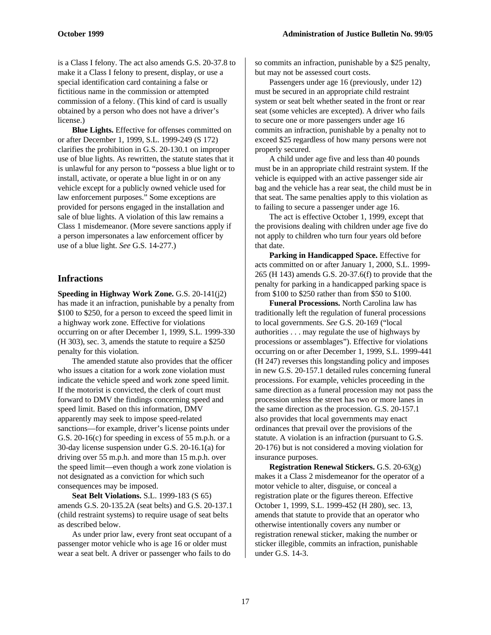is a Class I felony. The act also amends G.S. 20-37.8 to make it a Class I felony to present, display, or use a special identification card containing a false or fictitious name in the commission or attempted commission of a felony. (This kind of card is usually obtained by a person who does not have a driver's license.)

**Blue Lights.** Effective for offenses committed on or after December 1, 1999, S.L. 1999-249 (S 172) clarifies the prohibition in G.S. 20-130.1 on improper use of blue lights. As rewritten, the statute states that it is unlawful for any person to "possess a blue light or to install, activate, or operate a blue light in or on any vehicle except for a publicly owned vehicle used for law enforcement purposes." Some exceptions are provided for persons engaged in the installation and sale of blue lights. A violation of this law remains a Class 1 misdemeanor. (More severe sanctions apply if a person impersonates a law enforcement officer by use of a blue light. *See* G.S. 14-277.)

#### **Infractions**

**Speeding in Highway Work Zone.** G.S. 20-141(j2) has made it an infraction, punishable by a penalty from \$100 to \$250, for a person to exceed the speed limit in a highway work zone. Effective for violations occurring on or after December 1, 1999, S.L. 1999-330 (H 303), sec. 3, amends the statute to require a \$250 penalty for this violation.

The amended statute also provides that the officer who issues a citation for a work zone violation must indicate the vehicle speed and work zone speed limit. If the motorist is convicted, the clerk of court must forward to DMV the findings concerning speed and speed limit. Based on this information, DMV apparently may seek to impose speed-related sanctions—for example, driver's license points under G.S. 20-16(c) for speeding in excess of 55 m.p.h. or a 30-day license suspension under G.S. 20-16.1(a) for driving over 55 m.p.h. and more than 15 m.p.h. over the speed limit—even though a work zone violation is not designated as a conviction for which such consequences may be imposed.

**Seat Belt Violations.** S.L. 1999-183 (S 65) amends G.S. 20-135.2A (seat belts) and G.S. 20-137.1 (child restraint systems) to require usage of seat belts as described below.

As under prior law, every front seat occupant of a passenger motor vehicle who is age 16 or older must wear a seat belt. A driver or passenger who fails to do

so commits an infraction, punishable by a \$25 penalty, but may not be assessed court costs.

Passengers under age 16 (previously, under 12) must be secured in an appropriate child restraint system or seat belt whether seated in the front or rear seat (some vehicles are excepted). A driver who fails to secure one or more passengers under age 16 commits an infraction, punishable by a penalty not to exceed \$25 regardless of how many persons were not properly secured.

A child under age five and less than 40 pounds must be in an appropriate child restraint system. If the vehicle is equipped with an active passenger side air bag and the vehicle has a rear seat, the child must be in that seat. The same penalties apply to this violation as to failing to secure a passenger under age 16.

The act is effective October 1, 1999, except that the provisions dealing with children under age five do not apply to children who turn four years old before that date.

**Parking in Handicapped Space.** Effective for acts committed on or after January 1, 2000, S.L. 1999- 265 (H 143) amends G.S. 20-37.6(f) to provide that the penalty for parking in a handicapped parking space is from \$100 to \$250 rather than from \$50 to \$100.

**Funeral Processions.** North Carolina law has traditionally left the regulation of funeral processions to local governments. *See* G.S. 20-169 ("local authorities . . . may regulate the use of highways by processions or assemblages"). Effective for violations occurring on or after December 1, 1999, S.L. 1999-441 (H 247) reverses this longstanding policy and imposes in new G.S. 20-157.1 detailed rules concerning funeral processions. For example, vehicles proceeding in the same direction as a funeral procession may not pass the procession unless the street has two or more lanes in the same direction as the procession. G.S. 20-157.1 also provides that local governments may enact ordinances that prevail over the provisions of the statute. A violation is an infraction (pursuant to G.S. 20-176) but is not considered a moving violation for insurance purposes.

**Registration Renewal Stickers.** G.S. 20-63(g) makes it a Class 2 misdemeanor for the operator of a motor vehicle to alter, disguise, or conceal a registration plate or the figures thereon. Effective October 1, 1999, S.L. 1999-452 (H 280), sec. 13, amends that statute to provide that an operator who otherwise intentionally covers any number or registration renewal sticker, making the number or sticker illegible, commits an infraction, punishable under G.S. 14-3.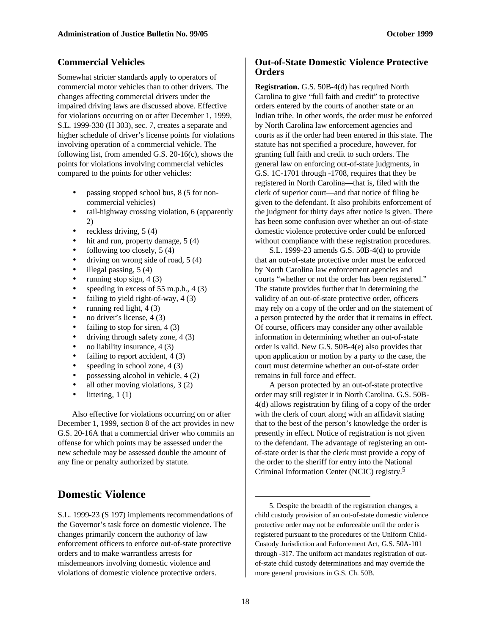#### **Commercial Vehicles**

Somewhat stricter standards apply to operators of commercial motor vehicles than to other drivers. The changes affecting commercial drivers under the impaired driving laws are discussed above. Effective for violations occurring on or after December 1, 1999, S.L. 1999-330 (H 303), sec. 7, creates a separate and higher schedule of driver's license points for violations involving operation of a commercial vehicle. The following list, from amended G.S. 20-16(c), shows the points for violations involving commercial vehicles compared to the points for other vehicles:

- passing stopped school bus, 8 (5 for noncommercial vehicles)
- rail-highway crossing violation, 6 (apparently 2)
- reckless driving, 5 (4)
- hit and run, property damage, 5 (4)
- following too closely,  $5(4)$
- driving on wrong side of road, 5 (4)
- illegal passing,  $5(4)$
- running stop sign,  $4(3)$
- speeding in excess of 55 m.p.h.,  $4(3)$
- failing to yield right-of-way, 4 (3)
- running red light,  $4(3)$
- no driver's license,  $4(3)$
- failing to stop for siren,  $4(3)$
- driving through safety zone,  $4(3)$
- no liability insurance,  $4(3)$
- failing to report accident, 4 (3)
- speeding in school zone,  $4(3)$
- possessing alcohol in vehicle,  $4(2)$
- all other moving violations,  $3(2)$
- $\bullet$  littering, 1(1)

Also effective for violations occurring on or after December 1, 1999, section 8 of the act provides in new G.S. 20-16A that a commercial driver who commits an offense for which points may be assessed under the new schedule may be assessed double the amount of any fine or penalty authorized by statute.

# **Domestic Violence**

S.L. 1999-23 (S 197) implements recommendations of the Governor's task force on domestic violence. The changes primarily concern the authority of law enforcement officers to enforce out-of-state protective orders and to make warrantless arrests for misdemeanors involving domestic violence and violations of domestic violence protective orders.

#### **Out-of-State Domestic Violence Protective Orders**

**Registration.** G.S. 50B-4(d) has required North Carolina to give "full faith and credit" to protective orders entered by the courts of another state or an Indian tribe. In other words, the order must be enforced by North Carolina law enforcement agencies and courts as if the order had been entered in this state. The statute has not specified a procedure, however, for granting full faith and credit to such orders. The general law on enforcing out-of-state judgments, in G.S. 1C-1701 through -1708, requires that they be registered in North Carolina—that is, filed with the clerk of superior court—and that notice of filing be given to the defendant. It also prohibits enforcement of the judgment for thirty days after notice is given. There has been some confusion over whether an out-of-state domestic violence protective order could be enforced without compliance with these registration procedures.

S.L. 1999-23 amends G.S. 50B-4(d) to provide that an out-of-state protective order must be enforced by North Carolina law enforcement agencies and courts "whether or not the order has been registered." The statute provides further that in determining the validity of an out-of-state protective order, officers may rely on a copy of the order and on the statement of a person protected by the order that it remains in effect. Of course, officers may consider any other available information in determining whether an out-of-state order is valid. New G.S. 50B-4(e) also provides that upon application or motion by a party to the case, the court must determine whether an out-of-state order remains in full force and effect.

A person protected by an out-of-state protective order may still register it in North Carolina. G.S. 50B-4(d) allows registration by filing of a copy of the order with the clerk of court along with an affidavit stating that to the best of the person's knowledge the order is presently in effect. Notice of registration is not given to the defendant. The advantage of registering an outof-state order is that the clerk must provide a copy of the order to the sheriff for entry into the National Criminal Information Center (NCIC) registry.<sup>5</sup>

 $\overline{a}$ 

<sup>5.</sup> Despite the breadth of the registration changes, a child custody provision of an out-of-state domestic violence protective order may not be enforceable until the order is registered pursuant to the procedures of the Uniform Child-Custody Jurisdiction and Enforcement Act, G.S. 50A-101 through -317. The uniform act mandates registration of outof-state child custody determinations and may override the more general provisions in G.S. Ch. 50B.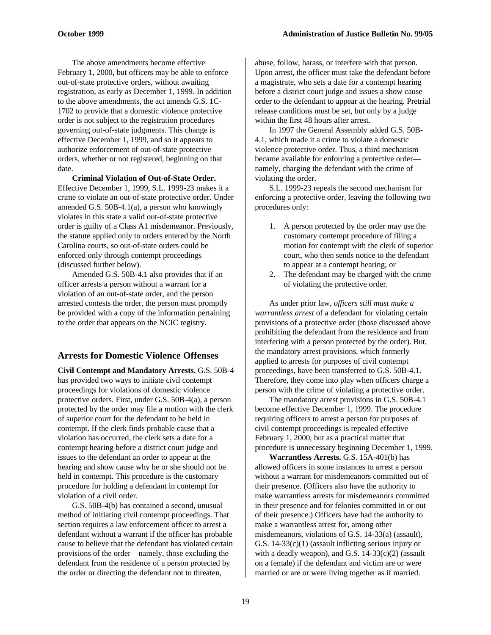The above amendments become effective February 1, 2000, but officers may be able to enforce out-of-state protective orders, without awaiting registration, as early as December 1, 1999. In addition to the above amendments, the act amends G.S. 1C-1702 to provide that a domestic violence protective order is not subject to the registration procedures governing out-of-state judgments. This change is effective December 1, 1999, and so it appears to authorize enforcement of out-of-state protective orders, whether or not registered, beginning on that date.

**Criminal Violation of Out-of-State Order.** Effective December 1, 1999, S.L. 1999-23 makes it a crime to violate an out-of-state protective order. Under amended G.S. 50B-4.1(a), a person who knowingly violates in this state a valid out-of-state protective order is guilty of a Class A1 misdemeanor. Previously, the statute applied only to orders entered by the North Carolina courts, so out-of-state orders could be enforced only through contempt proceedings (discussed further below).

Amended G.S. 50B-4.1 also provides that if an officer arrests a person without a warrant for a violation of an out-of-state order, and the person arrested contests the order, the person must promptly be provided with a copy of the information pertaining to the order that appears on the NCIC registry.

#### **Arrests for Domestic Violence Offenses**

**Civil Contempt and Mandatory Arrests.** G.S. 50B-4 has provided two ways to initiate civil contempt proceedings for violations of domestic violence protective orders. First, under G.S. 50B-4(a), a person protected by the order may file a motion with the clerk of superior court for the defendant to be held in contempt. If the clerk finds probable cause that a violation has occurred, the clerk sets a date for a contempt hearing before a district court judge and issues to the defendant an order to appear at the hearing and show cause why he or she should not be held in contempt. This procedure is the customary procedure for holding a defendant in contempt for violation of a civil order.

G.S. 50B-4(b) has contained a second, unusual method of initiating civil contempt proceedings. That section requires a law enforcement officer to arrest a defendant without a warrant if the officer has probable cause to believe that the defendant has violated certain provisions of the order—namely, those excluding the defendant from the residence of a person protected by the order or directing the defendant not to threaten,

abuse, follow, harass, or interfere with that person. Upon arrest, the officer must take the defendant before a magistrate, who sets a date for a contempt hearing before a district court judge and issues a show cause order to the defendant to appear at the hearing. Pretrial release conditions must be set, but only by a judge within the first 48 hours after arrest.

In 1997 the General Assembly added G.S. 50B-4.1, which made it a crime to violate a domestic violence protective order. Thus, a third mechanism became available for enforcing a protective order namely, charging the defendant with the crime of violating the order.

S.L. 1999-23 repeals the second mechanism for enforcing a protective order, leaving the following two procedures only:

- 1. A person protected by the order may use the customary contempt procedure of filing a motion for contempt with the clerk of superior court, who then sends notice to the defendant to appear at a contempt hearing; or
- 2. The defendant may be charged with the crime of violating the protective order.

As under prior law, *officers still must make a warrantless arrest* of a defendant for violating certain provisions of a protective order (those discussed above prohibiting the defendant from the residence and from interfering with a person protected by the order). But, the mandatory arrest provisions, which formerly applied to arrests for purposes of civil contempt proceedings, have been transferred to G.S. 50B-4.1. Therefore, they come into play when officers charge a person with the crime of violating a protective order.

The mandatory arrest provisions in G.S. 50B-4.1 become effective December 1, 1999. The procedure requiring officers to arrest a person for purposes of civil contempt proceedings is repealed effective February 1, 2000, but as a practical matter that procedure is unnecessary beginning December 1, 1999.

**Warrantless Arrests.** G.S. 15A-401(b) has allowed officers in some instances to arrest a person without a warrant for misdemeanors committed out of their presence. (Officers also have the authority to make warrantless arrests for misdemeanors committed in their presence and for felonies committed in or out of their presence.) Officers have had the authority to make a warrantless arrest for, among other misdemeanors, violations of G.S. 14-33(a) (assault), G.S. 14-33(c)(1) (assault inflicting serious injury or with a deadly weapon), and G.S.  $14-33(c)(2)$  (assault on a female) if the defendant and victim are or were married or are or were living together as if married.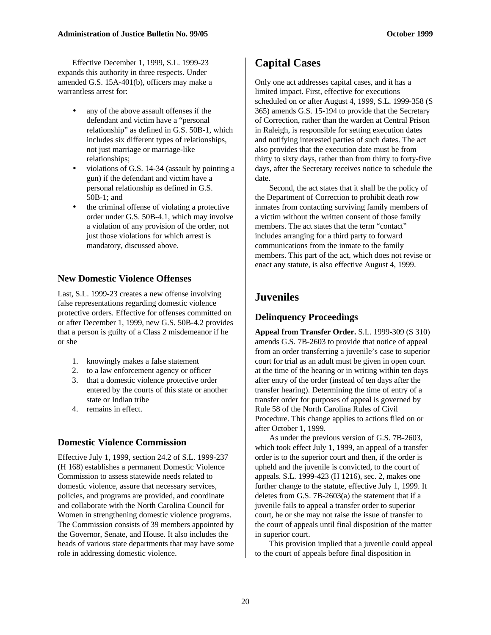Effective December 1, 1999, S.L. 1999-23 expands this authority in three respects. Under amended G.S. 15A-401(b), officers may make a warrantless arrest for:

- any of the above assault offenses if the defendant and victim have a "personal relationship" as defined in G.S. 50B-1, which includes six different types of relationships, not just marriage or marriage-like relationships;
- violations of G.S. 14-34 (assault by pointing a gun) if the defendant and victim have a personal relationship as defined in G.S. 50B-1; and
- the criminal offense of violating a protective order under G.S. 50B-4.1, which may involve a violation of any provision of the order, not just those violations for which arrest is mandatory, discussed above.

#### **New Domestic Violence Offenses**

Last, S.L. 1999-23 creates a new offense involving false representations regarding domestic violence protective orders. Effective for offenses committed on or after December 1, 1999, new G.S. 50B-4.2 provides that a person is guilty of a Class 2 misdemeanor if he or she

- 1. knowingly makes a false statement
- 2. to a law enforcement agency or officer
- 3. that a domestic violence protective order entered by the courts of this state or another state or Indian tribe
- 4. remains in effect.

#### **Domestic Violence Commission**

Effective July 1, 1999, section 24.2 of S.L. 1999-237 (H 168) establishes a permanent Domestic Violence Commission to assess statewide needs related to domestic violence, assure that necessary services, policies, and programs are provided, and coordinate and collaborate with the North Carolina Council for Women in strengthening domestic violence programs. The Commission consists of 39 members appointed by the Governor, Senate, and House. It also includes the heads of various state departments that may have some role in addressing domestic violence.

# **Capital Cases**

Only one act addresses capital cases, and it has a limited impact. First, effective for executions scheduled on or after August 4, 1999, S.L. 1999-358 (S 365) amends G.S. 15-194 to provide that the Secretary of Correction, rather than the warden at Central Prison in Raleigh, is responsible for setting execution dates and notifying interested parties of such dates. The act also provides that the execution date must be from thirty to sixty days, rather than from thirty to forty-five days, after the Secretary receives notice to schedule the date.

Second, the act states that it shall be the policy of the Department of Correction to prohibit death row inmates from contacting surviving family members of a victim without the written consent of those family members. The act states that the term "contact" includes arranging for a third party to forward communications from the inmate to the family members. This part of the act, which does not revise or enact any statute, is also effective August 4, 1999.

# **Juveniles**

#### **Delinquency Proceedings**

**Appeal from Transfer Order.** S.L. 1999-309 (S 310) amends G.S. 7B-2603 to provide that notice of appeal from an order transferring a juvenile's case to superior court for trial as an adult must be given in open court at the time of the hearing or in writing within ten days after entry of the order (instead of ten days after the transfer hearing). Determining the time of entry of a transfer order for purposes of appeal is governed by Rule 58 of the North Carolina Rules of Civil Procedure. This change applies to actions filed on or after October 1, 1999.

As under the previous version of G.S. 7B-2603, which took effect July 1, 1999, an appeal of a transfer order is to the superior court and then, if the order is upheld and the juvenile is convicted, to the court of appeals. S.L. 1999-423 (H 1216), sec. 2, makes one further change to the statute, effective July 1, 1999. It deletes from G.S. 7B-2603(a) the statement that if a juvenile fails to appeal a transfer order to superior court, he or she may not raise the issue of transfer to the court of appeals until final disposition of the matter in superior court.

This provision implied that a juvenile could appeal to the court of appeals before final disposition in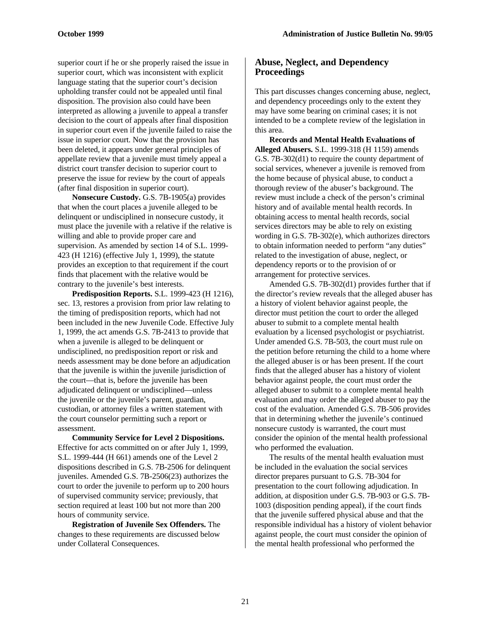superior court if he or she properly raised the issue in superior court, which was inconsistent with explicit language stating that the superior court's decision upholding transfer could not be appealed until final disposition. The provision also could have been interpreted as allowing a juvenile to appeal a transfer decision to the court of appeals after final disposition in superior court even if the juvenile failed to raise the issue in superior court. Now that the provision has been deleted, it appears under general principles of appellate review that a juvenile must timely appeal a district court transfer decision to superior court to preserve the issue for review by the court of appeals (after final disposition in superior court).

**Nonsecure Custody.** G.S. 7B-1905(a) provides that when the court places a juvenile alleged to be delinquent or undisciplined in nonsecure custody, it must place the juvenile with a relative if the relative is willing and able to provide proper care and supervision. As amended by section 14 of S.L. 1999- 423 (H 1216) (effective July 1, 1999), the statute provides an exception to that requirement if the court finds that placement with the relative would be contrary to the juvenile's best interests.

**Predisposition Reports.** S.L. 1999-423 (H 1216), sec. 13, restores a provision from prior law relating to the timing of predisposition reports, which had not been included in the new Juvenile Code. Effective July 1, 1999, the act amends G.S. 7B-2413 to provide that when a juvenile is alleged to be delinquent or undisciplined, no predisposition report or risk and needs assessment may be done before an adjudication that the juvenile is within the juvenile jurisdiction of the court—that is, before the juvenile has been adjudicated delinquent or undisciplined—unless the juvenile or the juvenile's parent, guardian, custodian, or attorney files a written statement with the court counselor permitting such a report or assessment.

**Community Service for Level 2 Dispositions.** Effective for acts committed on or after July 1, 1999, S.L. 1999-444 (H 661) amends one of the Level 2 dispositions described in G.S. 7B-2506 for delinquent juveniles. Amended G.S. 7B-2506(23) authorizes the court to order the juvenile to perform up to 200 hours of supervised community service; previously, that section required at least 100 but not more than 200 hours of community service.

**Registration of Juvenile Sex Offenders.** The changes to these requirements are discussed below under Collateral Consequences.

#### **Abuse, Neglect, and Dependency Proceedings**

This part discusses changes concerning abuse, neglect, and dependency proceedings only to the extent they may have some bearing on criminal cases; it is not intended to be a complete review of the legislation in this area.

**Records and Mental Health Evaluations of Alleged Abusers.** S.L. 1999-318 (H 1159) amends G.S. 7B-302(d1) to require the county department of social services, whenever a juvenile is removed from the home because of physical abuse, to conduct a thorough review of the abuser's background. The review must include a check of the person's criminal history and of available mental health records. In obtaining access to mental health records, social services directors may be able to rely on existing wording in G.S. 7B-302(e), which authorizes directors to obtain information needed to perform "any duties" related to the investigation of abuse, neglect, or dependency reports or to the provision of or arrangement for protective services.

Amended G.S. 7B-302(d1) provides further that if the director's review reveals that the alleged abuser has a history of violent behavior against people, the director must petition the court to order the alleged abuser to submit to a complete mental health evaluation by a licensed psychologist or psychiatrist. Under amended G.S. 7B-503, the court must rule on the petition before returning the child to a home where the alleged abuser is or has been present. If the court finds that the alleged abuser has a history of violent behavior against people, the court must order the alleged abuser to submit to a complete mental health evaluation and may order the alleged abuser to pay the cost of the evaluation. Amended G.S. 7B-506 provides that in determining whether the juvenile's continued nonsecure custody is warranted, the court must consider the opinion of the mental health professional who performed the evaluation.

The results of the mental health evaluation must be included in the evaluation the social services director prepares pursuant to G.S. 7B-304 for presentation to the court following adjudication. In addition, at disposition under G.S. 7B-903 or G.S. 7B-1003 (disposition pending appeal), if the court finds that the juvenile suffered physical abuse and that the responsible individual has a history of violent behavior against people, the court must consider the opinion of the mental health professional who performed the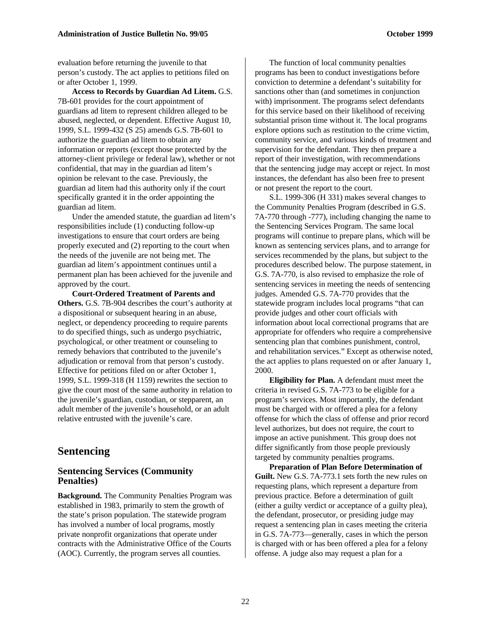evaluation before returning the juvenile to that person's custody. The act applies to petitions filed on or after October 1, 1999.

**Access to Records by Guardian Ad Litem.** G.S. 7B-601 provides for the court appointment of guardians ad litem to represent children alleged to be abused, neglected, or dependent. Effective August 10, 1999, S.L. 1999-432 (S 25) amends G.S. 7B-601 to authorize the guardian ad litem to obtain any information or reports (except those protected by the attorney-client privilege or federal law), whether or not confidential, that may in the guardian ad litem's opinion be relevant to the case. Previously, the guardian ad litem had this authority only if the court specifically granted it in the order appointing the guardian ad litem.

Under the amended statute, the guardian ad litem's responsibilities include (1) conducting follow-up investigations to ensure that court orders are being properly executed and (2) reporting to the court when the needs of the juvenile are not being met. The guardian ad litem's appointment continues until a permanent plan has been achieved for the juvenile and approved by the court.

**Court-Ordered Treatment of Parents and Others.** G.S. 7B-904 describes the court's authority at a dispositional or subsequent hearing in an abuse, neglect, or dependency proceeding to require parents to do specified things, such as undergo psychiatric, psychological, or other treatment or counseling to remedy behaviors that contributed to the juvenile's adjudication or removal from that person's custody. Effective for petitions filed on or after October 1, 1999, S.L. 1999-318 (H 1159) rewrites the section to give the court most of the same authority in relation to the juvenile's guardian, custodian, or stepparent, an adult member of the juvenile's household, or an adult relative entrusted with the juvenile's care.

## **Sentencing**

#### **Sentencing Services (Community Penalties)**

**Background.** The Community Penalties Program was established in 1983, primarily to stem the growth of the state's prison population. The statewide program has involved a number of local programs, mostly private nonprofit organizations that operate under contracts with the Administrative Office of the Courts (AOC). Currently, the program serves all counties.

The function of local community penalties programs has been to conduct investigations before conviction to determine a defendant's suitability for sanctions other than (and sometimes in conjunction with) imprisonment. The programs select defendants for this service based on their likelihood of receiving substantial prison time without it. The local programs explore options such as restitution to the crime victim, community service, and various kinds of treatment and supervision for the defendant. They then prepare a report of their investigation, with recommendations that the sentencing judge may accept or reject. In most instances, the defendant has also been free to present or not present the report to the court.

S.L. 1999-306 (H 331) makes several changes to the Community Penalties Program (described in G.S. 7A-770 through -777), including changing the name to the Sentencing Services Program. The same local programs will continue to prepare plans, which will be known as sentencing services plans, and to arrange for services recommended by the plans, but subject to the procedures described below. The purpose statement, in G.S. 7A-770, is also revised to emphasize the role of sentencing services in meeting the needs of sentencing judges. Amended G.S. 7A-770 provides that the statewide program includes local programs "that can provide judges and other court officials with information about local correctional programs that are appropriate for offenders who require a comprehensive sentencing plan that combines punishment, control, and rehabilitation services." Except as otherwise noted, the act applies to plans requested on or after January 1, 2000.

**Eligibility for Plan.** A defendant must meet the criteria in revised G.S. 7A-773 to be eligible for a program's services. Most importantly, the defendant must be charged with or offered a plea for a felony offense for which the class of offense and prior record level authorizes, but does not require, the court to impose an active punishment. This group does not differ significantly from those people previously targeted by community penalties programs.

**Preparation of Plan Before Determination of Guilt.** New G.S. 7A-773.1 sets forth the new rules on requesting plans, which represent a departure from previous practice. Before a determination of guilt (either a guilty verdict or acceptance of a guilty plea), the defendant, prosecutor, or presiding judge may request a sentencing plan in cases meeting the criteria in G.S. 7A-773—generally, cases in which the person is charged with or has been offered a plea for a felony offense. A judge also may request a plan for a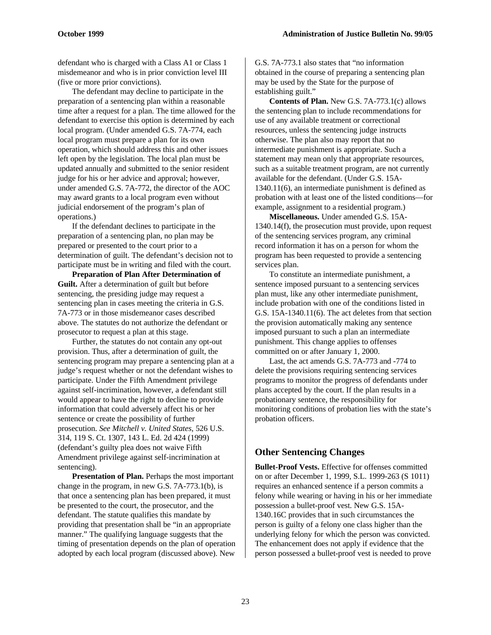defendant who is charged with a Class A1 or Class 1 misdemeanor and who is in prior conviction level III (five or more prior convictions).

The defendant may decline to participate in the preparation of a sentencing plan within a reasonable time after a request for a plan. The time allowed for the defendant to exercise this option is determined by each local program. (Under amended G.S. 7A-774, each local program must prepare a plan for its own operation, which should address this and other issues left open by the legislation. The local plan must be updated annually and submitted to the senior resident judge for his or her advice and approval; however, under amended G.S. 7A-772, the director of the AOC may award grants to a local program even without judicial endorsement of the program's plan of operations.)

If the defendant declines to participate in the preparation of a sentencing plan, no plan may be prepared or presented to the court prior to a determination of guilt. The defendant's decision not to participate must be in writing and filed with the court.

**Preparation of Plan After Determination of Guilt.** After a determination of guilt but before sentencing, the presiding judge may request a sentencing plan in cases meeting the criteria in G.S. 7A-773 or in those misdemeanor cases described above. The statutes do not authorize the defendant or prosecutor to request a plan at this stage.

Further, the statutes do not contain any opt-out provision. Thus, after a determination of guilt, the sentencing program may prepare a sentencing plan at a judge's request whether or not the defendant wishes to participate. Under the Fifth Amendment privilege against self-incrimination, however, a defendant still would appear to have the right to decline to provide information that could adversely affect his or her sentence or create the possibility of further prosecution. *See Mitchell v. United States,* 526 U.S. 314, 119 S. Ct. 1307, 143 L. Ed. 2d 424 (1999) (defendant's guilty plea does not waive Fifth Amendment privilege against self-incrimination at sentencing).

**Presentation of Plan.** Perhaps the most important change in the program, in new G.S. 7A-773.1(b), is that once a sentencing plan has been prepared, it must be presented to the court, the prosecutor, and the defendant. The statute qualifies this mandate by providing that presentation shall be "in an appropriate manner." The qualifying language suggests that the timing of presentation depends on the plan of operation adopted by each local program (discussed above). New

G.S. 7A-773.1 also states that "no information obtained in the course of preparing a sentencing plan may be used by the State for the purpose of establishing guilt."

**Contents of Plan.** New G.S. 7A-773.1(c) allows the sentencing plan to include recommendations for use of any available treatment or correctional resources, unless the sentencing judge instructs otherwise. The plan also may report that no intermediate punishment is appropriate. Such a statement may mean only that appropriate resources, such as a suitable treatment program, are not currently available for the defendant. (Under G.S. 15A-1340.11(6), an intermediate punishment is defined as probation with at least one of the listed conditions—for example, assignment to a residential program.)

**Miscellaneous.** Under amended G.S. 15A-1340.14(f), the prosecution must provide, upon request of the sentencing services program, any criminal record information it has on a person for whom the program has been requested to provide a sentencing services plan.

To constitute an intermediate punishment, a sentence imposed pursuant to a sentencing services plan must, like any other intermediate punishment, include probation with one of the conditions listed in G.S. 15A-1340.11(6). The act deletes from that section the provision automatically making any sentence imposed pursuant to such a plan an intermediate punishment. This change applies to offenses committed on or after January 1, 2000.

Last, the act amends G.S. 7A-773 and -774 to delete the provisions requiring sentencing services programs to monitor the progress of defendants under plans accepted by the court. If the plan results in a probationary sentence, the responsibility for monitoring conditions of probation lies with the state's probation officers.

#### **Other Sentencing Changes**

**Bullet-Proof Vests.** Effective for offenses committed on or after December 1, 1999, S.L. 1999-263 (S 1011) requires an enhanced sentence if a person commits a felony while wearing or having in his or her immediate possession a bullet-proof vest. New G.S. 15A-1340.16C provides that in such circumstances the person is guilty of a felony one class higher than the underlying felony for which the person was convicted. The enhancement does not apply if evidence that the person possessed a bullet-proof vest is needed to prove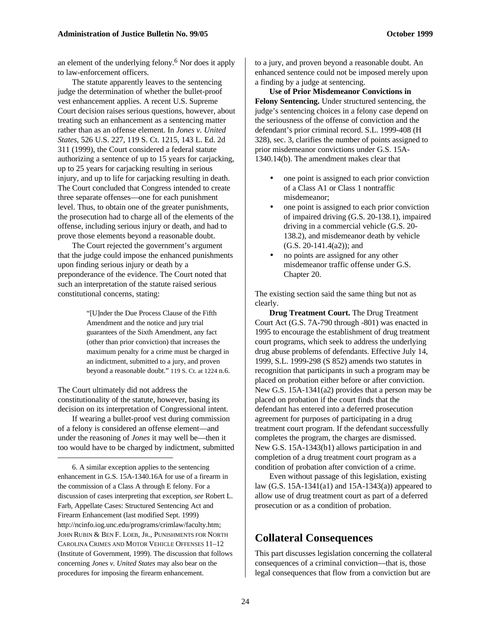an element of the underlying felony.<sup>6</sup> Nor does it apply to law-enforcement officers.

The statute apparently leaves to the sentencing judge the determination of whether the bullet-proof vest enhancement applies. A recent U.S. Supreme Court decision raises serious questions, however, about treating such an enhancement as a sentencing matter rather than as an offense element. In *Jones v. United States,* 526 U.S. 227, 119 S. Ct. 1215, 143 L. Ed. 2d 311 (1999), the Court considered a federal statute authorizing a sentence of up to 15 years for carjacking, up to 25 years for carjacking resulting in serious injury, and up to life for carjacking resulting in death. The Court concluded that Congress intended to create three separate offenses—one for each punishment level. Thus, to obtain one of the greater punishments, the prosecution had to charge all of the elements of the offense, including serious injury or death, and had to prove those elements beyond a reasonable doubt.

The Court rejected the government's argument that the judge could impose the enhanced punishments upon finding serious injury or death by a preponderance of the evidence. The Court noted that such an interpretation of the statute raised serious constitutional concerns, stating:

> "[U]nder the Due Process Clause of the Fifth Amendment and the notice and jury trial guarantees of the Sixth Amendment, any fact (other than prior conviction) that increases the maximum penalty for a crime must be charged in an indictment, submitted to a jury, and proven beyond a reasonable doubt." 119 S. Ct. at 1224 n.6.

The Court ultimately did not address the constitutionality of the statute, however, basing its decision on its interpretation of Congressional intent.

If wearing a bullet-proof vest during commission of a felony is considered an offense element—and under the reasoning of *Jones* it may well be—then it too would have to be charged by indictment, submitted

 $\overline{a}$ 

6. A similar exception applies to the sentencing enhancement in G.S. 15A-1340.16A for use of a firearm in the commission of a Class A through E felony. For a discussion of cases interpreting that exception, *see* Robert L. Farb, Appellate Cases: Structured Sentencing Act and Firearm Enhancement (last modified Sept. 1999) http://ncinfo.iog.unc.edu/programs/crimlaw/faculty.htm; JOHN RUBIN & BEN F. LOEB, JR., PUNISHMENTS FOR NORTH CAROLINA CRIMES AND MOTOR VEHICLE OFFENSES 11–12 (Institute of Government, 1999). The discussion that follows concerning *Jones v. United States* may also bear on the procedures for imposing the firearm enhancement.

to a jury, and proven beyond a reasonable doubt. An enhanced sentence could not be imposed merely upon a finding by a judge at sentencing.

**Use of Prior Misdemeanor Convictions in Felony Sentencing.** Under structured sentencing, the judge's sentencing choices in a felony case depend on the seriousness of the offense of conviction and the defendant's prior criminal record. S.L. 1999-408 (H 328), sec. 3, clarifies the number of points assigned to prior misdemeanor convictions under G.S. 15A-1340.14(b). The amendment makes clear that

- one point is assigned to each prior conviction of a Class A1 or Class 1 nontraffic misdemeanor;
- one point is assigned to each prior conviction of impaired driving (G.S. 20-138.1), impaired driving in a commercial vehicle (G.S. 20- 138.2), and misdemeanor death by vehicle (G.S. 20-141.4(a2)); and
- no points are assigned for any other misdemeanor traffic offense under G.S. Chapter 20.

The existing section said the same thing but not as clearly.

**Drug Treatment Court.** The Drug Treatment Court Act (G.S. 7A-790 through -801) was enacted in 1995 to encourage the establishment of drug treatment court programs, which seek to address the underlying drug abuse problems of defendants. Effective July 14, 1999, S.L. 1999-298 (S 852) amends two statutes in recognition that participants in such a program may be placed on probation either before or after conviction. New G.S. 15A-1341(a2) provides that a person may be placed on probation if the court finds that the defendant has entered into a deferred prosecution agreement for purposes of participating in a drug treatment court program. If the defendant successfully completes the program, the charges are dismissed. New G.S. 15A-1343(b1) allows participation in and completion of a drug treatment court program as a condition of probation after conviction of a crime.

Even without passage of this legislation, existing law (G.S. 15A-1341(a1) and 15A-1343(a)) appeared to allow use of drug treatment court as part of a deferred prosecution or as a condition of probation.

# **Collateral Consequences**

This part discusses legislation concerning the collateral consequences of a criminal conviction—that is, those legal consequences that flow from a conviction but are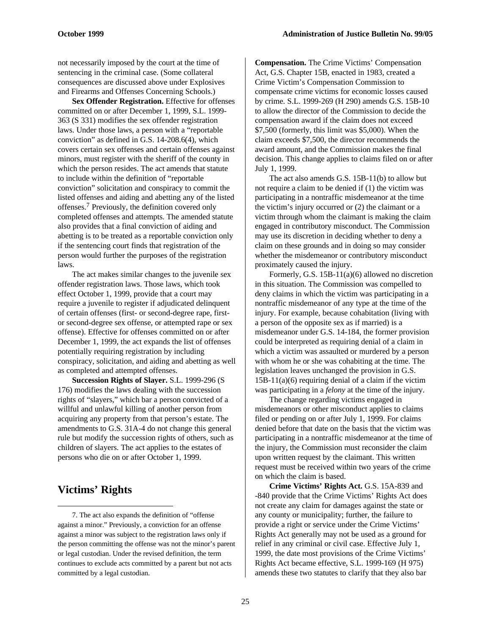not necessarily imposed by the court at the time of sentencing in the criminal case. (Some collateral consequences are discussed above under Explosives and Firearms and Offenses Concerning Schools.)

**Sex Offender Registration.** Effective for offenses committed on or after December 1, 1999, S.L. 1999- 363 (S 331) modifies the sex offender registration laws. Under those laws, a person with a "reportable conviction" as defined in G.S. 14-208.6(4), which covers certain sex offenses and certain offenses against minors, must register with the sheriff of the county in which the person resides. The act amends that statute to include within the definition of "reportable conviction" solicitation and conspiracy to commit the listed offenses and aiding and abetting any of the listed offenses.<sup>7</sup> Previously, the definition covered only completed offenses and attempts. The amended statute also provides that a final conviction of aiding and abetting is to be treated as a reportable conviction only if the sentencing court finds that registration of the person would further the purposes of the registration laws.

The act makes similar changes to the juvenile sex offender registration laws. Those laws, which took effect October 1, 1999, provide that a court may require a juvenile to register if adjudicated delinquent of certain offenses (first- or second-degree rape, firstor second-degree sex offense, or attempted rape or sex offense). Effective for offenses committed on or after December 1, 1999, the act expands the list of offenses potentially requiring registration by including conspiracy, solicitation, and aiding and abetting as well as completed and attempted offenses.

**Succession Rights of Slayer.** S.L. 1999-296 (S 176) modifies the laws dealing with the succession rights of "slayers," which bar a person convicted of a willful and unlawful killing of another person from acquiring any property from that person's estate. The amendments to G.S. 31A-4 do not change this general rule but modify the succession rights of others, such as children of slayers. The act applies to the estates of persons who die on or after October 1, 1999.

# **Victims' Rights**

-

**Compensation.** The Crime Victims' Compensation Act, G.S. Chapter 15B, enacted in 1983, created a Crime Victim's Compensation Commission to compensate crime victims for economic losses caused by crime. S.L. 1999-269 (H 290) amends G.S. 15B-10 to allow the director of the Commission to decide the compensation award if the claim does not exceed \$7,500 (formerly, this limit was \$5,000). When the claim exceeds \$7,500, the director recommends the award amount, and the Commission makes the final decision. This change applies to claims filed on or after July 1, 1999.

The act also amends G.S. 15B-11(b) to allow but not require a claim to be denied if (1) the victim was participating in a nontraffic misdemeanor at the time the victim's injury occurred or (2) the claimant or a victim through whom the claimant is making the claim engaged in contributory misconduct. The Commission may use its discretion in deciding whether to deny a claim on these grounds and in doing so may consider whether the misdemeanor or contributory misconduct proximately caused the injury.

Formerly, G.S. 15B-11(a)(6) allowed no discretion in this situation. The Commission was compelled to deny claims in which the victim was participating in a nontraffic misdemeanor of any type at the time of the injury. For example, because cohabitation (living with a person of the opposite sex as if married) is a misdemeanor under G.S. 14-184, the former provision could be interpreted as requiring denial of a claim in which a victim was assaulted or murdered by a person with whom he or she was cohabiting at the time. The legislation leaves unchanged the provision in G.S.  $15B-11(a)(6)$  requiring denial of a claim if the victim was participating in a *felony* at the time of the injury.

The change regarding victims engaged in misdemeanors or other misconduct applies to claims filed or pending on or after July 1, 1999. For claims denied before that date on the basis that the victim was participating in a nontraffic misdemeanor at the time of the injury, the Commission must reconsider the claim upon written request by the claimant. This written request must be received within two years of the crime on which the claim is based.

**Crime Victims' Rights Act.** G.S. 15A-839 and -840 provide that the Crime Victims' Rights Act does not create any claim for damages against the state or any county or municipality; further, the failure to provide a right or service under the Crime Victims' Rights Act generally may not be used as a ground for relief in any criminal or civil case. Effective July 1, 1999, the date most provisions of the Crime Victims' Rights Act became effective, S.L. 1999-169 (H 975) amends these two statutes to clarify that they also bar

<sup>7.</sup> The act also expands the definition of "offense against a minor." Previously, a conviction for an offense against a minor was subject to the registration laws only if the person committing the offense was not the minor's parent or legal custodian. Under the revised definition, the term continues to exclude acts committed by a parent but not acts committed by a legal custodian.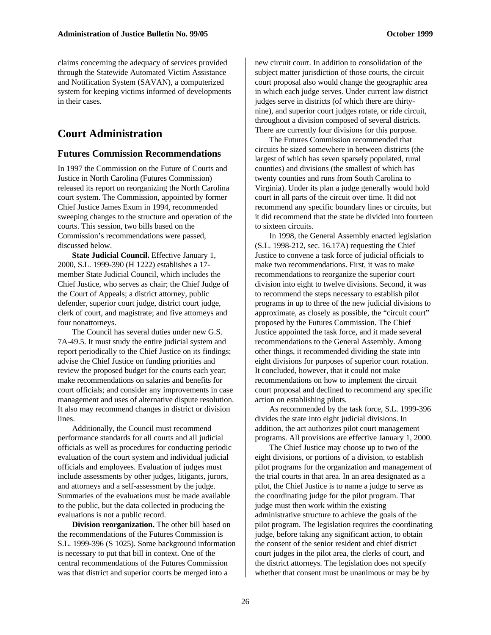claims concerning the adequacy of services provided through the Statewide Automated Victim Assistance and Notification System (SAVAN), a computerized system for keeping victims informed of developments in their cases.

# **Court Administration**

#### **Futures Commission Recommendations**

In 1997 the Commission on the Future of Courts and Justice in North Carolina (Futures Commission) released its report on reorganizing the North Carolina court system. The Commission, appointed by former Chief Justice James Exum in 1994, recommended sweeping changes to the structure and operation of the courts. This session, two bills based on the Commission's recommendations were passed, discussed below.

**State Judicial Council.** Effective January 1, 2000, S.L. 1999-390 (H 1222) establishes a 17 member State Judicial Council, which includes the Chief Justice, who serves as chair; the Chief Judge of the Court of Appeals; a district attorney, public defender, superior court judge, district court judge, clerk of court, and magistrate; and five attorneys and four nonattorneys.

The Council has several duties under new G.S. 7A-49.5. It must study the entire judicial system and report periodically to the Chief Justice on its findings; advise the Chief Justice on funding priorities and review the proposed budget for the courts each year; make recommendations on salaries and benefits for court officials; and consider any improvements in case management and uses of alternative dispute resolution. It also may recommend changes in district or division lines.

Additionally, the Council must recommend performance standards for all courts and all judicial officials as well as procedures for conducting periodic evaluation of the court system and individual judicial officials and employees. Evaluation of judges must include assessments by other judges, litigants, jurors, and attorneys and a self-assessment by the judge. Summaries of the evaluations must be made available to the public, but the data collected in producing the evaluations is not a public record.

**Division reorganization.** The other bill based on the recommendations of the Futures Commission is S.L. 1999-396 (S 1025). Some background information is necessary to put that bill in context. One of the central recommendations of the Futures Commission was that district and superior courts be merged into a

new circuit court. In addition to consolidation of the subject matter jurisdiction of those courts, the circuit court proposal also would change the geographic area in which each judge serves. Under current law district judges serve in districts (of which there are thirtynine), and superior court judges rotate, or ride circuit, throughout a division composed of several districts. There are currently four divisions for this purpose.

The Futures Commission recommended that circuits be sized somewhere in between districts (the largest of which has seven sparsely populated, rural counties) and divisions (the smallest of which has twenty counties and runs from South Carolina to Virginia). Under its plan a judge generally would hold court in all parts of the circuit over time. It did not recommend any specific boundary lines or circuits, but it did recommend that the state be divided into fourteen to sixteen circuits.

In 1998, the General Assembly enacted legislation (S.L. 1998-212, sec. 16.17A) requesting the Chief Justice to convene a task force of judicial officials to make two recommendations. First, it was to make recommendations to reorganize the superior court division into eight to twelve divisions. Second, it was to recommend the steps necessary to establish pilot programs in up to three of the new judicial divisions to approximate, as closely as possible, the "circuit court" proposed by the Futures Commission. The Chief Justice appointed the task force, and it made several recommendations to the General Assembly. Among other things, it recommended dividing the state into eight divisions for purposes of superior court rotation. It concluded, however, that it could not make recommendations on how to implement the circuit court proposal and declined to recommend any specific action on establishing pilots.

As recommended by the task force, S.L. 1999-396 divides the state into eight judicial divisions. In addition, the act authorizes pilot court management programs. All provisions are effective January 1, 2000.

The Chief Justice may choose up to two of the eight divisions, or portions of a division, to establish pilot programs for the organization and management of the trial courts in that area. In an area designated as a pilot, the Chief Justice is to name a judge to serve as the coordinating judge for the pilot program. That judge must then work within the existing administrative structure to achieve the goals of the pilot program. The legislation requires the coordinating judge, before taking any significant action, to obtain the consent of the senior resident and chief district court judges in the pilot area, the clerks of court, and the district attorneys. The legislation does not specify whether that consent must be unanimous or may be by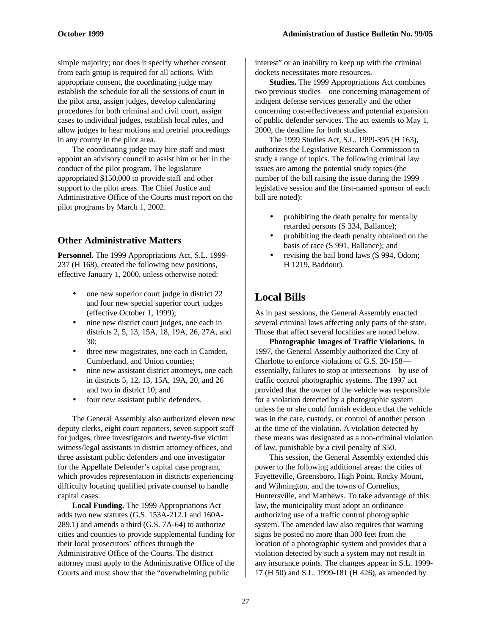simple majority; nor does it specify whether consent from each group is required for all actions. With appropriate consent, the coordinating judge may establish the schedule for all the sessions of court in the pilot area, assign judges, develop calendaring procedures for both criminal and civil court, assign cases to individual judges, establish local rules, and allow judges to hear motions and pretrial proceedings in any county in the pilot area.

The coordinating judge may hire staff and must appoint an advisory council to assist him or her in the conduct of the pilot program. The legislature appropriated \$150,000 to provide staff and other support to the pilot areas. The Chief Justice and Administrative Office of the Courts must report on the pilot programs by March 1, 2002.

#### **Other Administrative Matters**

**Personnel.** The 1999 Appropriations Act, S.L. 1999- 237 (H 168), created the following new positions, effective January 1, 2000, unless otherwise noted:

- one new superior court judge in district 22 and four new special superior court judges (effective October 1, 1999);
- nine new district court judges, one each in districts 2, 5, 13, 15A, 18, 19A, 26, 27A, and 30;
- three new magistrates, one each in Camden, Cumberland, and Union counties;
- nine new assistant district attorneys, one each in districts 5, 12, 13, 15A, 19A, 20, and 26 and two in district 10; and
- four new assistant public defenders.

The General Assembly also authorized eleven new deputy clerks, eight court reporters, seven support staff for judges, three investigators and twenty-five victim witness/legal assistants in district attorney offices, and three assistant public defenders and one investigator for the Appellate Defender's capital case program, which provides representation in districts experiencing difficulty locating qualified private counsel to handle capital cases.

**Local Funding.** The 1999 Appropriations Act adds two new statutes (G.S. 153A-212.1 and 160A-289.1) and amends a third (G.S. 7A-64) to authorize cities and counties to provide supplemental funding for their local prosecutors' offices through the Administrative Office of the Courts. The district attorney must apply to the Administrative Office of the Courts and must show that the "overwhelming public

interest" or an inability to keep up with the criminal dockets necessitates more resources.

**Studies.** The 1999 Appropriations Act combines two previous studies—one concerning management of indigent defense services generally and the other concerning cost-effectiveness and potential expansion of public defender services. The act extends to May 1, 2000, the deadline for both studies.

The 1999 Studies Act, S.L. 1999-395 (H 163), authorizes the Legislative Research Commission to study a range of topics. The following criminal law issues are among the potential study topics (the number of the bill raising the issue during the 1999 legislative session and the first-named sponsor of each bill are noted):

- prohibiting the death penalty for mentally retarded persons (S 334, Ballance);
- prohibiting the death penalty obtained on the basis of race (S 991, Ballance); and
- revising the bail bond laws (S 994, Odom; H 1219, Baddour).

# **Local Bills**

As in past sessions, the General Assembly enacted several criminal laws affecting only parts of the state. Those that affect several localities are noted below.

**Photographic Images of Traffic Violations.** In 1997, the General Assembly authorized the City of Charlotte to enforce violations of G.S. 20-158 essentially, failures to stop at intersections—by use of traffic control photographic systems. The 1997 act provided that the owner of the vehicle was responsible for a violation detected by a photographic system unless he or she could furnish evidence that the vehicle was in the care, custody, or control of another person at the time of the violation. A violation detected by these means was designated as a non-criminal violation of law, punishable by a civil penalty of \$50.

This session, the General Assembly extended this power to the following additional areas: the cities of Fayetteville, Greensboro, High Point, Rocky Mount, and Wilmington, and the towns of Cornelius, Huntersville, and Matthews. To take advantage of this law, the municipality must adopt an ordinance authorizing use of a traffic control photographic system. The amended law also requires that warning signs be posted no more than 300 feet from the location of a photographic system and provides that a violation detected by such a system may not result in any insurance points. The changes appear in S.L. 1999- 17 (H 50) and S.L. 1999-181 (H 426), as amended by